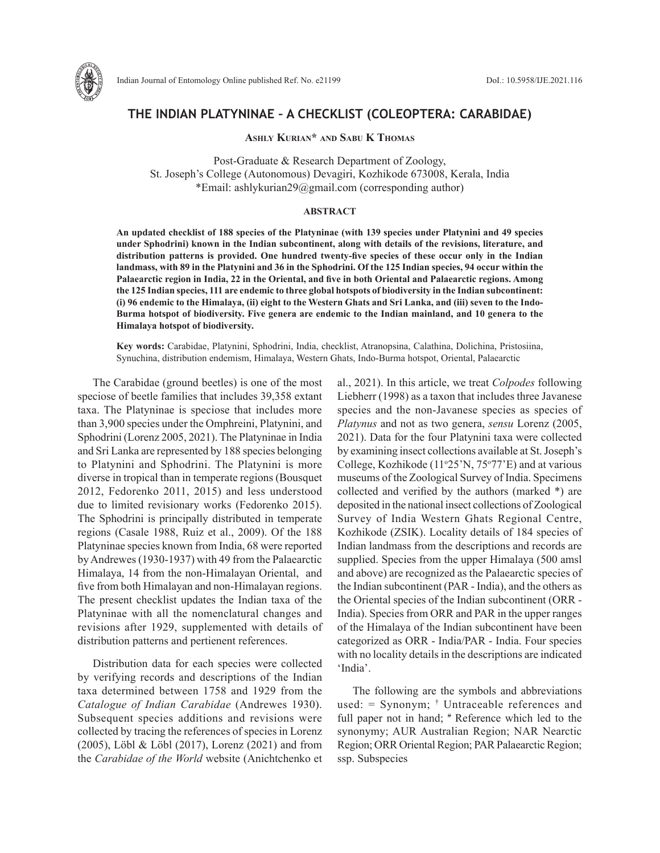

# **THE INDIAN PLATYNINAE – A CHECKLIST (COLEOPTERA: CARABIDAE)**

**Ashly Kurian\* and Sabu K Thomas**

Post-Graduate & Research Department of Zoology, St. Joseph's College (Autonomous) Devagiri, Kozhikode 673008, Kerala, India \*Email: ashlykurian29@gmail.com (corresponding author)

### **ABSTRACT**

**An updated checklist of 188 species of the Platyninae (with 139 species under Platynini and 49 species under Sphodrini) known in the Indian subcontinent, along with details of the revisions, literature, and distribution patterns is provided. One hundred twenty-five species of these occur only in the Indian landmass, with 89 in the Platynini and 36 in the Sphodrini. Of the 125 Indian species, 94 occur within the Palaearctic region in India, 22 in the Oriental, and five in both Oriental and Palaearctic regions. Among the 125 Indian species, 111 are endemic to three global hotspots of biodiversity in the Indian subcontinent: (i) 96 endemic to the Himalaya, (ii) eight to the Western Ghats and Sri Lanka, and (iii) seven to the Indo-Burma hotspot of biodiversity. Five genera are endemic to the Indian mainland, and 10 genera to the Himalaya hotspot of biodiversity.**

**Key words:** Carabidae, Platynini, Sphodrini, India, checklist, Atranopsina, Calathina, Dolichina, Pristosiina, Synuchina, distribution endemism, Himalaya, Western Ghats, Indo-Burma hotspot, Oriental, Palaearctic

The Carabidae (ground beetles) is one of the most speciose of beetle families that includes 39,358 extant taxa. The Platyninae is speciose that includes more than 3,900 species under the Omphreini, Platynini, and Sphodrini (Lorenz 2005, 2021). The Platyninae in India and Sri Lanka are represented by 188 species belonging to Platynini and Sphodrini. The Platynini is more diverse in tropical than in temperate regions (Bousquet 2012, Fedorenko 2011, 2015) and less understood due to limited revisionary works (Fedorenko 2015). The Sphodrini is principally distributed in temperate regions (Casale 1988, Ruiz et al., 2009). Of the 188 Platyninae species known from India, 68 were reported by Andrewes (1930-1937) with 49 from the Palaearctic Himalaya, 14 from the non-Himalayan Oriental, and five from both Himalayan and non-Himalayan regions. The present checklist updates the Indian taxa of the Platyninae with all the nomenclatural changes and revisions after 1929, supplemented with details of distribution patterns and pertienent references.

Distribution data for each species were collected by verifying records and descriptions of the Indian taxa determined between 1758 and 1929 from the *Catalogue of Indian Carabidae* (Andrewes 1930). Subsequent species additions and revisions were collected by tracing the references of species in Lorenz (2005), Löbl & Löbl (2017), Lorenz (2021) and from the *Carabidae of the World* website (Anichtchenko et

al., 2021). In this article, we treat *Colpodes* following Liebherr (1998) as a taxon that includes three Javanese species and the non-Javanese species as species of *Platynus* and not as two genera, *sensu* Lorenz (2005, 2021). Data for the four Platynini taxa were collected by examining insect collections available at St. Joseph's College, Kozhikode ( $11°25'$ N,  $75°77'E$ ) and at various museums of the Zoological Survey of India. Specimens collected and verified by the authors (marked \*) are deposited in the national insect collections of Zoological Survey of India Western Ghats Regional Centre, Kozhikode (ZSIK). Locality details of 184 species of Indian landmass from the descriptions and records are supplied. Species from the upper Himalaya (500 amsl and above) are recognized as the Palaearctic species of the Indian subcontinent (PAR - India), and the others as the Oriental species of the Indian subcontinent (ORR - India). Species from ORR and PAR in the upper ranges of the Himalaya of the Indian subcontinent have been categorized as ORR - India/PAR - India. Four species with no locality details in the descriptions are indicated 'India'.

The following are the symbols and abbreviations used: = Synonym; † Untraceable references and full paper not in hand;  $*$  Reference which led to the synonymy; AUR Australian Region; NAR Nearctic Region; ORR Oriental Region; PAR Palaearctic Region; ssp. Subspecies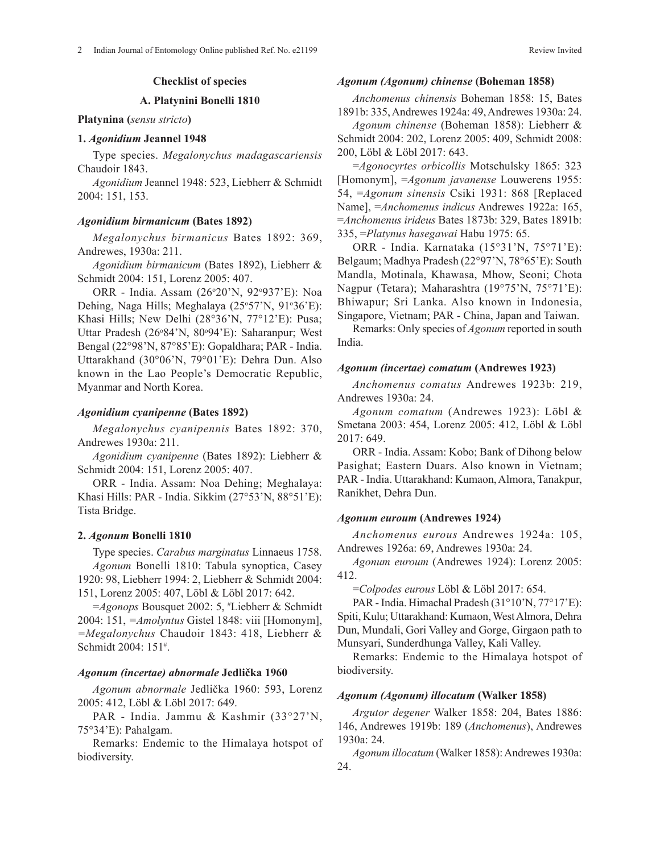# **A. Platynini Bonelli 1810**

### **Platynina (***sensu stricto***)**

### **1.** *Agonidium* **Jeannel 1948**

Type species. *Megalonychus madagascariensis* Chaudoir 1843.

*Agonidium* Jeannel 1948: 523, Liebherr & Schmidt 2004: 151, 153.

### *Agonidium birmanicum* **(Bates 1892)**

*Megalonychus birmanicus* Bates 1892: 369, Andrewes, 1930a: 211.

*Agonidium birmanicum* (Bates 1892), Liebherr & Schmidt 2004: 151, Lorenz 2005: 407.

ORR - India. Assam (26°20'N, 92°937'E): Noa Dehing, Naga Hills; Meghalaya (25°57'N, 91°36'E): Khasi Hills; New Delhi (28°36'N, 77°12'E): Pusa; Uttar Pradesh (26°84'N, 80°94'E): Saharanpur; West Bengal (22°98'N, 87°85'E): Gopaldhara; PAR - India. Uttarakhand (30°06'N, 79°01'E): Dehra Dun. Also known in the Lao People's Democratic Republic, Myanmar and North Korea.

### *Agonidium cyanipenne* **(Bates 1892)**

*Megalonychus cyanipennis* Bates 1892: 370, Andrewes 1930a: 211.

*Agonidium cyanipenne* (Bates 1892): Liebherr & Schmidt 2004: 151, Lorenz 2005: 407.

ORR - India. Assam: Noa Dehing; Meghalaya: Khasi Hills: PAR - India. Sikkim (27°53'N, 88°51'E): Tista Bridge.

#### **2.** *Agonum* **Bonelli 1810**

Type species. *Carabus marginatus* Linnaeus 1758. *Agonum* Bonelli 1810: Tabula synoptica, Casey 1920: 98, Liebherr 1994: 2, Liebherr & Schmidt 2004: 151, Lorenz 2005: 407, Löbl & Löbl 2017: 642.

=*Agonops* Bousquet 2002: 5, # Liebherr & Schmidt 2004: 151, *=Amolyntus* Gistel 1848: viii [Homonym], *=Megalonychus* Chaudoir 1843: 418, Liebherr & Schmidt 2004: 151# .

#### *Agonum (incertae) abnormale* **Jedlička 1960**

*Agonum abnormale* Jedlička 1960: 593, Lorenz 2005: 412, Löbl & Löbl 2017: 649.

PAR - India. Jammu & Kashmir (33°27'N, 75°34'E): Pahalgam.

Remarks: Endemic to the Himalaya hotspot of biodiversity.

### *Agonum (Agonum) chinense* **(Boheman 1858)**

*Anchomenus chinensis* Boheman 1858: 15, Bates 1891b: 335, Andrewes 1924a: 49, Andrewes 1930a: 24.

*Agonum chinense* (Boheman 1858): Liebherr & Schmidt 2004: 202, Lorenz 2005: 409, Schmidt 2008: 200, Löbl & Löbl 2017: 643.

=*Agonocyrtes orbicollis* Motschulsky 1865: 323 [Homonym], =*Agonum javanense* Louwerens 1955: 54, =*Agonum sinensis* Csiki 1931: 868 [Replaced Name], =*Anchomenus indicus* Andrewes 1922a: 165, =*Anchomenus irideus* Bates 1873b: 329, Bates 1891b: 335, =*Platynus hasegawai* Habu 1975: 65.

ORR - India. Karnataka (15°31'N, 75°71'E): Belgaum; Madhya Pradesh (22°97'N, 78°65'E): South Mandla, Motinala, Khawasa, Mhow, Seoni; Chota Nagpur (Tetara); Maharashtra (19°75'N, 75°71'E): Bhiwapur; Sri Lanka. Also known in Indonesia, Singapore, Vietnam; PAR - China, Japan and Taiwan.

Remarks: Only species of *Agonum* reported in south India.

### *Agonum (incertae) comatum* **(Andrewes 1923)**

*Anchomenus comatus* Andrewes 1923b: 219, Andrewes 1930a: 24.

*Agonum comatum* (Andrewes 1923): Löbl & Smetana 2003: 454, Lorenz 2005: 412, Löbl & Löbl 2017: 649.

ORR - India. Assam: Kobo; Bank of Dihong below Pasighat; Eastern Duars. Also known in Vietnam; PAR - India. Uttarakhand: Kumaon, Almora, Tanakpur, Ranikhet, Dehra Dun.

### *Agonum euroum* **(Andrewes 1924)**

*Anchomenus eurous* Andrewes 1924a: 105, Andrewes 1926a: 69, Andrewes 1930a: 24.

*Agonum euroum* (Andrewes 1924): Lorenz 2005: 412.

=*Colpodes eurous* Löbl & Löbl 2017: 654.

PAR - India. Himachal Pradesh (31°10'N, 77°17'E): Spiti, Kulu; Uttarakhand: Kumaon, West Almora, Dehra Dun, Mundali, Gori Valley and Gorge, Girgaon path to Munsyari, Sunderdhunga Valley, Kali Valley.

Remarks: Endemic to the Himalaya hotspot of biodiversity.

#### *Agonum (Agonum) illocatum* **(Walker 1858)**

*Argutor degener* Walker 1858: 204, Bates 1886: 146, Andrewes 1919b: 189 (*Anchomenus*), Andrewes 1930a: 24.

*Agonum illocatum* (Walker 1858): Andrewes 1930a: 24.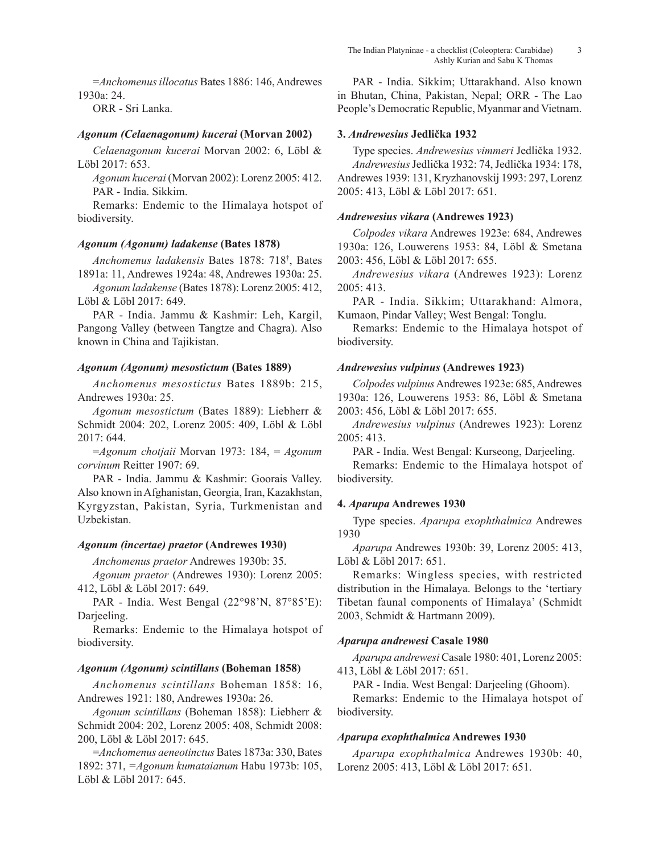=*Anchomenus illocatus* Bates 1886: 146, Andrewes 1930a: 24.

ORR - Sri Lanka.

## *Agonum (Celaenagonum) kucerai* **(Morvan 2002)**

*Celaenagonum kucerai* Morvan 2002: 6, Löbl & Löbl 2017: 653.

*Agonum kucerai* (Morvan 2002): Lorenz 2005: 412. PAR - India. Sikkim.

Remarks: Endemic to the Himalaya hotspot of biodiversity.

## *Agonum (Agonum) ladakense* **(Bates 1878)**

*Anchomenus ladakensis* Bates 1878: 718† , Bates 1891a: 11, Andrewes 1924a: 48, Andrewes 1930a: 25.

*Agonum ladakense* (Bates 1878): Lorenz 2005: 412, Löbl & Löbl 2017: 649.

PAR - India. Jammu & Kashmir: Leh, Kargil, Pangong Valley (between Tangtze and Chagra). Also known in China and Tajikistan.

## *Agonum (Agonum) mesostictum* **(Bates 1889)**

*Anchomenus mesostictus* Bates 1889b: 215, Andrewes 1930a: 25.

*Agonum mesostictum* (Bates 1889): Liebherr & Schmidt 2004: 202, Lorenz 2005: 409, Löbl & Löbl 2017: 644.

=*Agonum chotjaii* Morvan 1973: 184, = *Agonum corvinum* Reitter 1907: 69.

PAR - India. Jammu & Kashmir: Goorais Valley. Also known in Afghanistan, Georgia, Iran, Kazakhstan, Kyrgyzstan, Pakistan, Syria, Turkmenistan and Uzbekistan.

## *Agonum (incertae) praetor* **(Andrewes 1930)**

*Anchomenus praetor* Andrewes 1930b: 35. *Agonum praetor* (Andrewes 1930): Lorenz 2005:

412, Löbl & Löbl 2017: 649.

PAR - India. West Bengal (22°98'N, 87°85'E): Darjeeling.

Remarks: Endemic to the Himalaya hotspot of biodiversity.

# *Agonum (Agonum) scintillans* **(Boheman 1858)**

*Anchomenus scintillans* Boheman 1858: 16, Andrewes 1921: 180, Andrewes 1930a: 26.

*Agonum scintillans* (Boheman 1858): Liebherr & Schmidt 2004: 202, Lorenz 2005: 408, Schmidt 2008: 200, Löbl & Löbl 2017: 645.

=*Anchomenus aeneotinctus* Bates 1873a: 330, Bates 1892: 371, *=Agonum kumataianum* Habu 1973b: 105, Löbl & Löbl 2017: 645.

PAR - India. Sikkim; Uttarakhand. Also known in Bhutan, China, Pakistan, Nepal; ORR - The Lao People's Democratic Republic, Myanmar and Vietnam.

## **3.** *Andrewesius* **Jedlička 1932**

Type species. *Andrewesius vimmeri* Jedlička 1932. *Andrewesius*Jedlička 1932: 74, Jedlička 1934: 178, Andrewes 1939: 131, Kryzhanovskij 1993: 297, Lorenz 2005: 413, Löbl & Löbl 2017: 651.

## *Andrewesius vikara* **(Andrewes 1923)**

*Colpodes vikara* Andrewes 1923e: 684, Andrewes 1930a: 126, Louwerens 1953: 84, Löbl & Smetana 2003: 456, Löbl & Löbl 2017: 655.

*Andrewesius vikara* (Andrewes 1923): Lorenz 2005: 413.

PAR - India. Sikkim; Uttarakhand: Almora, Kumaon, Pindar Valley; West Bengal: Tonglu.

Remarks: Endemic to the Himalaya hotspot of biodiversity.

## *Andrewesius vulpinus* **(Andrewes 1923)**

*Colpodes vulpinus* Andrewes 1923e: 685, Andrewes 1930a: 126, Louwerens 1953: 86, Löbl & Smetana 2003: 456, Löbl & Löbl 2017: 655.

*Andrewesius vulpinus* (Andrewes 1923): Lorenz 2005: 413.

PAR - India. West Bengal: Kurseong, Darjeeling.

Remarks: Endemic to the Himalaya hotspot of biodiversity.

# **4.** *Aparupa* **Andrewes 1930**

Type species. *Aparupa exophthalmica* Andrewes 1930

*Aparupa* Andrewes 1930b: 39, Lorenz 2005: 413, Löbl & Löbl 2017: 651.

Remarks: Wingless species, with restricted distribution in the Himalaya. Belongs to the 'tertiary Tibetan faunal components of Himalaya' (Schmidt 2003, Schmidt & Hartmann 2009).

## *Aparupa andrewesi* **Casale 1980**

*Aparupa andrewesi* Casale 1980: 401, Lorenz 2005: 413, Löbl & Löbl 2017: 651.

PAR - India. West Bengal: Darjeeling (Ghoom).

Remarks: Endemic to the Himalaya hotspot of biodiversity.

## *Aparupa exophthalmica* **Andrewes 1930**

*Aparupa exophthalmica* Andrewes 1930b: 40, Lorenz 2005: 413, Löbl & Löbl 2017: 651.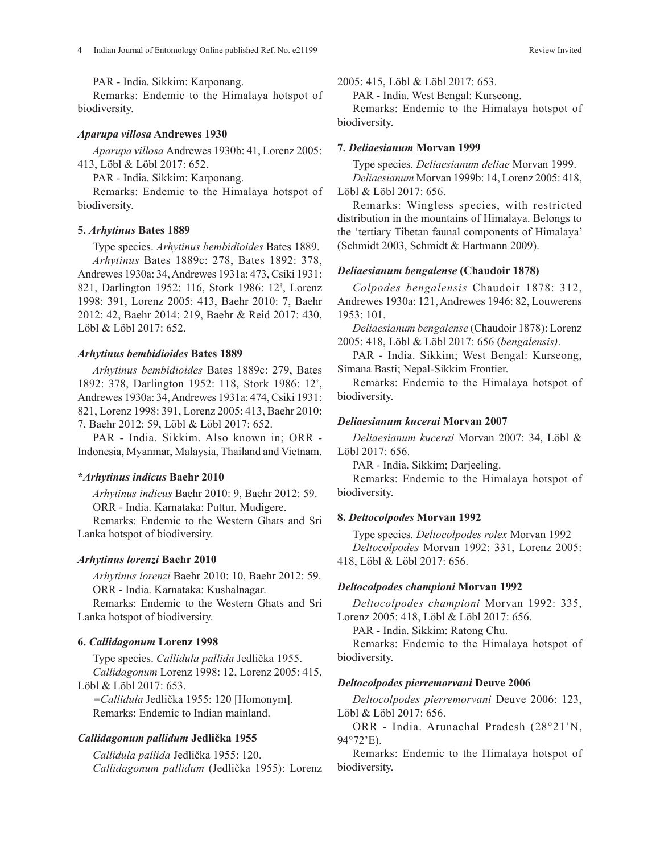PAR - India. Sikkim: Karponang.

Remarks: Endemic to the Himalaya hotspot of biodiversity.

#### *Aparupa villosa* **Andrewes 1930**

*Aparupa villosa* Andrewes 1930b: 41, Lorenz 2005: 413, Löbl & Löbl 2017: 652.

PAR - India. Sikkim: Karponang.

Remarks: Endemic to the Himalaya hotspot of biodiversity.

#### **5.** *Arhytinus* **Bates 1889**

Type species. *Arhytinus bembidioides* Bates 1889. *Arhytinus* Bates 1889c: 278, Bates 1892: 378, Andrewes 1930a: 34, Andrewes 1931a: 473, Csiki 1931: 821, Darlington 1952: 116, Stork 1986: 12† , Lorenz 1998: 391, Lorenz 2005: 413, Baehr 2010: 7, Baehr 2012: 42, Baehr 2014: 219, Baehr & Reid 2017: 430, Löbl & Löbl 2017: 652.

### *Arhytinus bembidioides* **Bates 1889**

*Arhytinus bembidioides* Bates 1889c: 279, Bates 1892: 378, Darlington 1952: 118, Stork 1986: 12† , Andrewes 1930a: 34, Andrewes 1931a: 474, Csiki 1931: 821, Lorenz 1998: 391, Lorenz 2005: 413, Baehr 2010: 7, Baehr 2012: 59, Löbl & Löbl 2017: 652.

PAR - India. Sikkim. Also known in; ORR - Indonesia, Myanmar, Malaysia, Thailand and Vietnam.

#### **\****Arhytinus indicus* **Baehr 2010**

*Arhytinus indicus* Baehr 2010: 9, Baehr 2012: 59. ORR - India. Karnataka: Puttur, Mudigere.

Remarks: Endemic to the Western Ghats and Sri Lanka hotspot of biodiversity.

### *Arhytinus lorenzi* **Baehr 2010**

*Arhytinus lorenzi* Baehr 2010: 10, Baehr 2012: 59. ORR - India. Karnataka: Kushalnagar.

Remarks: Endemic to the Western Ghats and Sri Lanka hotspot of biodiversity.

### **6.** *Callidagonum* **Lorenz 1998**

Type species. *Callidula pallida* Jedlička 1955. *Callidagonum* Lorenz 1998: 12, Lorenz 2005: 415, Löbl & Löbl 2017: 653.

*=Callidula* Jedlička 1955: 120 [Homonym]. Remarks: Endemic to Indian mainland.

### *Callidagonum pallidum* **Jedlička 1955**

*Callidula pallida* Jedlička 1955: 120. *Callidagonum pallidum* (Jedlička 1955): Lorenz 2005: 415, Löbl & Löbl 2017: 653.

PAR - India. West Bengal: Kurseong.

Remarks: Endemic to the Himalaya hotspot of biodiversity.

### **7.** *Deliaesianum* **Morvan 1999**

Type species. *Deliaesianum deliae* Morvan 1999.

*Deliaesianum* Morvan 1999b: 14, Lorenz 2005: 418, Löbl & Löbl 2017: 656.

Remarks: Wingless species, with restricted distribution in the mountains of Himalaya. Belongs to the 'tertiary Tibetan faunal components of Himalaya' (Schmidt 2003, Schmidt & Hartmann 2009).

### *Deliaesianum bengalense* **(Chaudoir 1878)**

*Colpodes bengalensis* Chaudoir 1878: 312, Andrewes 1930a: 121, Andrewes 1946: 82, Louwerens 1953: 101.

*Deliaesianum bengalense* (Chaudoir 1878): Lorenz 2005: 418, Löbl & Löbl 2017: 656 (*bengalensis)*.

PAR - India. Sikkim; West Bengal: Kurseong, Simana Basti; Nepal-Sikkim Frontier.

Remarks: Endemic to the Himalaya hotspot of biodiversity.

## *Deliaesianum kucerai* **Morvan 2007**

*Deliaesianum kucerai* Morvan 2007: 34, Löbl & Löbl 2017: 656.

PAR - India. Sikkim; Darjeeling.

Remarks: Endemic to the Himalaya hotspot of biodiversity.

#### **8.** *Deltocolpodes* **Morvan 1992**

Type species. *Deltocolpodes rolex* Morvan 1992 *Deltocolpodes* Morvan 1992: 331, Lorenz 2005: 418, Löbl & Löbl 2017: 656.

### *Deltocolpodes championi* **Morvan 1992**

*Deltocolpodes championi* Morvan 1992: 335, Lorenz 2005: 418, Löbl & Löbl 2017: 656.

PAR - India. Sikkim: Ratong Chu.

Remarks: Endemic to the Himalaya hotspot of biodiversity.

#### *Deltocolpodes pierremorvani* **Deuve 2006**

*Deltocolpodes pierremorvani* Deuve 2006: 123, Löbl & Löbl 2017: 656.

ORR - India. Arunachal Pradesh (28°21'N, 94°72'E).

Remarks: Endemic to the Himalaya hotspot of biodiversity.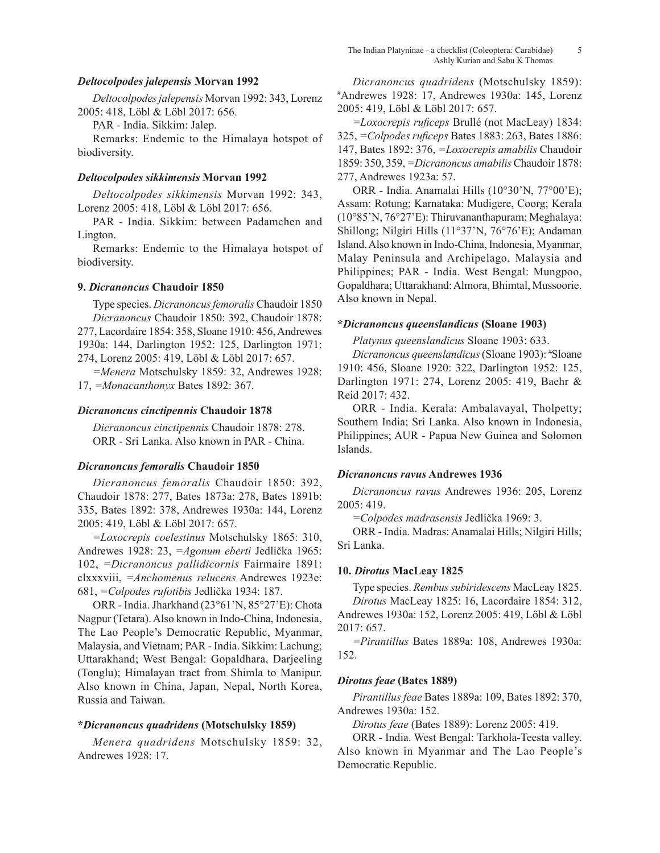## *Deltocolpodes jalepensis* **Morvan 1992**

*Deltocolpodes jalepensis* Morvan 1992: 343, Lorenz 2005: 418, Löbl & Löbl 2017: 656.

PAR - India. Sikkim: Jalep.

Remarks: Endemic to the Himalaya hotspot of biodiversity.

## *Deltocolpodes sikkimensis* **Morvan 1992**

*Deltocolpodes sikkimensis* Morvan 1992: 343, Lorenz 2005: 418, Löbl & Löbl 2017: 656.

PAR - India. Sikkim: between Padamchen and Lington.

Remarks: Endemic to the Himalaya hotspot of biodiversity.

## **9.** *Dicranoncus* **Chaudoir 1850**

Type species. *Dicranoncus femoralis* Chaudoir 1850 *Dicranoncus* Chaudoir 1850: 392, Chaudoir 1878: 277, Lacordaire 1854: 358, Sloane 1910: 456, Andrewes 1930a: 144, Darlington 1952: 125, Darlington 1971: 274, Lorenz 2005: 419, Löbl & Löbl 2017: 657.

*=Menera* Motschulsky 1859: 32, Andrewes 1928: 17, *=Monacanthonyx* Bates 1892: 367.

### *Dicranoncus cinctipennis* **Chaudoir 1878**

*Dicranoncus cinctipennis* Chaudoir 1878: 278. ORR - Sri Lanka. Also known in PAR - China.

## *Dicranoncus femoralis* **Chaudoir 1850**

*Dicranoncus femoralis* Chaudoir 1850: 392, Chaudoir 1878: 277, Bates 1873a: 278, Bates 1891b: 335, Bates 1892: 378, Andrewes 1930a: 144, Lorenz 2005: 419, Löbl & Löbl 2017: 657.

*=Loxocrepis coelestinus* Motschulsky 1865: 310, Andrewes 1928: 23, *=Agonum eberti* Jedlička 1965: 102, *=Dicranoncus pallidicornis* Fairmaire 1891: clxxxviii, *=Anchomenus relucens* Andrewes 1923e: 681, *=Colpodes rufotibis* Jedlička 1934: 187.

ORR - India. Jharkhand (23°61'N, 85°27'E): Chota Nagpur (Tetara). Also known in Indo-China, Indonesia, The Lao People's Democratic Republic, Myanmar, Malaysia, and Vietnam; PAR - India. Sikkim: Lachung; Uttarakhand; West Bengal: Gopaldhara, Darjeeling (Tonglu); Himalayan tract from Shimla to Manipur. Also known in China, Japan, Nepal, North Korea, Russia and Taiwan.

## **\****Dicranoncus quadridens* **(Motschulsky 1859)**

*Menera quadridens* Motschulsky 1859: 32, Andrewes 1928: 17.

*Dicranoncus quadridens* (Motschulsky 1859): Andrewes 1928: 17, Andrewes 1930a: 145, Lorenz 2005: 419, Löbl & Löbl 2017: 657.

*=Loxocrepis ruficeps* Brullé (not MacLeay) 1834: 325, *=Colpodes ruficeps* Bates 1883: 263, Bates 1886: 147, Bates 1892: 376, *=Loxocrepis amabilis* Chaudoir 1859: 350, 359, *=Dicranoncus amabilis* Chaudoir 1878: 277, Andrewes 1923a: 57.

ORR - India. Anamalai Hills (10°30'N, 77°00'E); Assam: Rotung; Karnataka: Mudigere, Coorg; Kerala (10°85'N, 76°27'E): Thiruvananthapuram; Meghalaya: Shillong; Nilgiri Hills (11°37'N, 76°76'E); Andaman Island. Also known in Indo-China, Indonesia, Myanmar, Malay Peninsula and Archipelago, Malaysia and Philippines; PAR - India. West Bengal: Mungpoo, Gopaldhara; Uttarakhand: Almora, Bhimtal, Mussoorie. Also known in Nepal.

## **\****Dicranoncus queenslandicus* **(Sloane 1903)**

*Platynus queenslandicus* Sloane 1903: 633.

*Dicranoncus queenslandicus* (Sloane 1903): # Sloane 1910: 456, Sloane 1920: 322, Darlington 1952: 125, Darlington 1971: 274, Lorenz 2005: 419, Baehr & Reid 2017: 432.

ORR - India. Kerala: Ambalavayal, Tholpetty; Southern India; Sri Lanka. Also known in Indonesia, Philippines; AUR - Papua New Guinea and Solomon Islands.

### *Dicranoncus ravus* **Andrewes 1936**

*Dicranoncus ravus* Andrewes 1936: 205, Lorenz 2005: 419.

*=Colpodes madrasensis* Jedlička 1969: 3.

ORR - India. Madras: Anamalai Hills; Nilgiri Hills; Sri Lanka.

## **10.** *Dirotus* **MacLeay 1825**

Type species. *Rembus subiridescens* MacLeay 1825. *Dirotus* MacLeay 1825: 16, Lacordaire 1854: 312, Andrewes 1930a: 152, Lorenz 2005: 419, Löbl & Löbl 2017: 657.

*=Pirantillus* Bates 1889a: 108, Andrewes 1930a: 152.

### *Dirotus feae* **(Bates 1889)**

*Pirantillus feae* Bates 1889a: 109, Bates 1892: 370, Andrewes 1930a: 152.

*Dirotus feae* (Bates 1889): Lorenz 2005: 419.

ORR - India. West Bengal: Tarkhola-Teesta valley. Also known in Myanmar and The Lao People's Democratic Republic.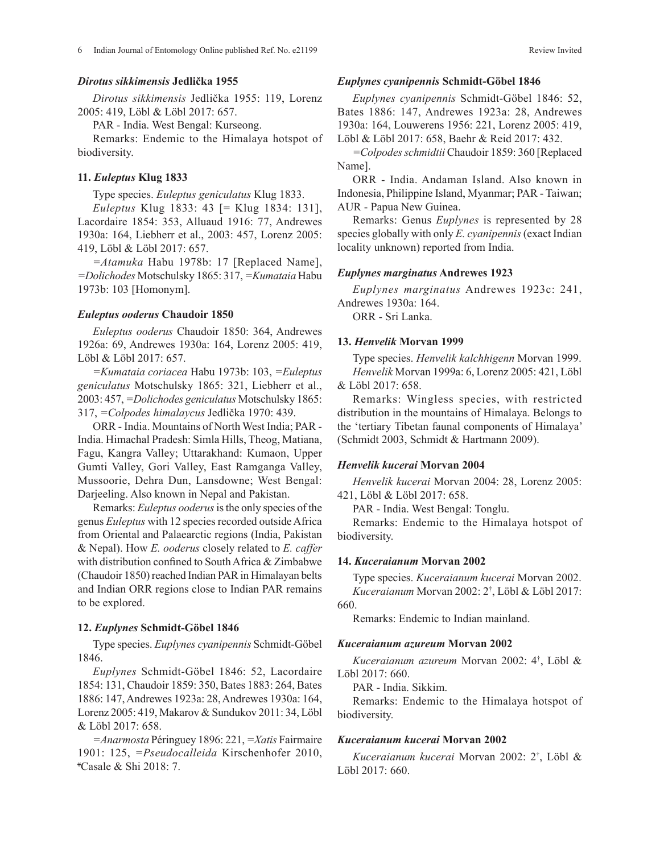### *Dirotus sikkimensis* **Jedlička 1955**

*Dirotus sikkimensis* Jedlička 1955: 119, Lorenz 2005: 419, Löbl & Löbl 2017: 657.

PAR - India. West Bengal: Kurseong.

Remarks: Endemic to the Himalaya hotspot of biodiversity.

## **11.** *Euleptus* **Klug 1833**

Type species. *Euleptus geniculatus* Klug 1833.

*Euleptus* Klug 1833: 43 [= Klug 1834: 131], Lacordaire 1854: 353, Alluaud 1916: 77, Andrewes 1930a: 164, Liebherr et al., 2003: 457, Lorenz 2005: 419, Löbl & Löbl 2017: 657.

*=Atamuka* Habu 1978b: 17 [Replaced Name], *=Dolichodes* Motschulsky 1865: 317, *=Kumataia* Habu 1973b: 103 [Homonym].

### *Euleptus ooderus* **Chaudoir 1850**

*Euleptus ooderus* Chaudoir 1850: 364, Andrewes 1926a: 69, Andrewes 1930a: 164, Lorenz 2005: 419, Löbl & Löbl 2017: 657.

*=Kumataia coriacea* Habu 1973b: 103, *=Euleptus geniculatus* Motschulsky 1865: 321, Liebherr et al., 2003: 457, *=Dolichodes geniculatus* Motschulsky 1865: 317, *=Colpodes himalaycus* Jedlička 1970: 439.

ORR - India. Mountains of North West India; PAR - India. Himachal Pradesh: Simla Hills, Theog, Matiana, Fagu, Kangra Valley; Uttarakhand: Kumaon, Upper Gumti Valley, Gori Valley, East Ramganga Valley, Mussoorie, Dehra Dun, Lansdowne; West Bengal: Darjeeling. Also known in Nepal and Pakistan.

Remarks: *Euleptus ooderus* is the only species of the genus *Euleptus* with 12 species recorded outside Africa from Oriental and Palaearctic regions (India, Pakistan & Nepal). How *E. ooderus* closely related to *E. caffer* with distribution confined to South Africa & Zimbabwe (Chaudoir 1850) reached Indian PAR in Himalayan belts and Indian ORR regions close to Indian PAR remains to be explored.

### **12.** *Euplynes* **Schmidt-Göbel 1846**

Type species. *Euplynes cyanipennis* Schmidt-Göbel 1846.

*Euplynes* Schmidt-Göbel 1846: 52, Lacordaire 1854: 131, Chaudoir 1859: 350, Bates 1883: 264, Bates 1886: 147, Andrewes 1923a: 28, Andrewes 1930a: 164, Lorenz 2005: 419, Makarov & Sundukov 2011: 34, Löbl & Löbl 2017: 658.

*=Anarmosta* Péringuey 1896: 221, *=Xatis* Fairmaire 1901: 125, *=Pseudocalleida* Kirschenhofer 2010, # Casale & Shi 2018: 7.

### *Euplynes cyanipennis* **Schmidt-Göbel 1846**

*Euplynes cyanipennis* Schmidt-Göbel 1846: 52, Bates 1886: 147, Andrewes 1923a: 28, Andrewes 1930a: 164, Louwerens 1956: 221, Lorenz 2005: 419, Löbl & Löbl 2017: 658, Baehr & Reid 2017: 432.

*=Colpodes schmidtii* Chaudoir 1859: 360 [Replaced Name].

ORR - India. Andaman Island. Also known in Indonesia, Philippine Island, Myanmar; PAR - Taiwan; AUR - Papua New Guinea.

Remarks: Genus *Euplynes* is represented by 28 species globally with only *E. cyanipennis* (exact Indian locality unknown) reported from India.

### *Euplynes marginatus* **Andrewes 1923**

*Euplynes marginatus* Andrewes 1923c: 241, Andrewes 1930a: 164.

ORR - Sri Lanka.

#### **13.** *Henvelik* **Morvan 1999**

Type species. *Henvelik kalchhigenn* Morvan 1999. *Henvelik* Morvan 1999a: 6, Lorenz 2005: 421, Löbl & Löbl 2017: 658.

Remarks: Wingless species, with restricted distribution in the mountains of Himalaya. Belongs to the 'tertiary Tibetan faunal components of Himalaya' (Schmidt 2003, Schmidt & Hartmann 2009).

## *Henvelik kucerai* **Morvan 2004**

*Henvelik kucerai* Morvan 2004: 28, Lorenz 2005: 421, Löbl & Löbl 2017: 658.

PAR - India. West Bengal: Tonglu.

Remarks: Endemic to the Himalaya hotspot of biodiversity.

### **14.** *Kuceraianum* **Morvan 2002**

Type species. *Kuceraianum kucerai* Morvan 2002. *Kuceraianum* Morvan 2002: 2† , Löbl & Löbl 2017:

660.

Remarks: Endemic to Indian mainland.

#### *Kuceraianum azureum* **Morvan 2002**

*Kuceraianum azureum* Morvan 2002: 4† , Löbl & Löbl 2017: 660.

PAR - India. Sikkim.

Remarks: Endemic to the Himalaya hotspot of biodiversity.

# *Kuceraianum kucerai* **Morvan 2002**

*Kuceraianum kucerai* Morvan 2002: 2† , Löbl & Löbl 2017: 660.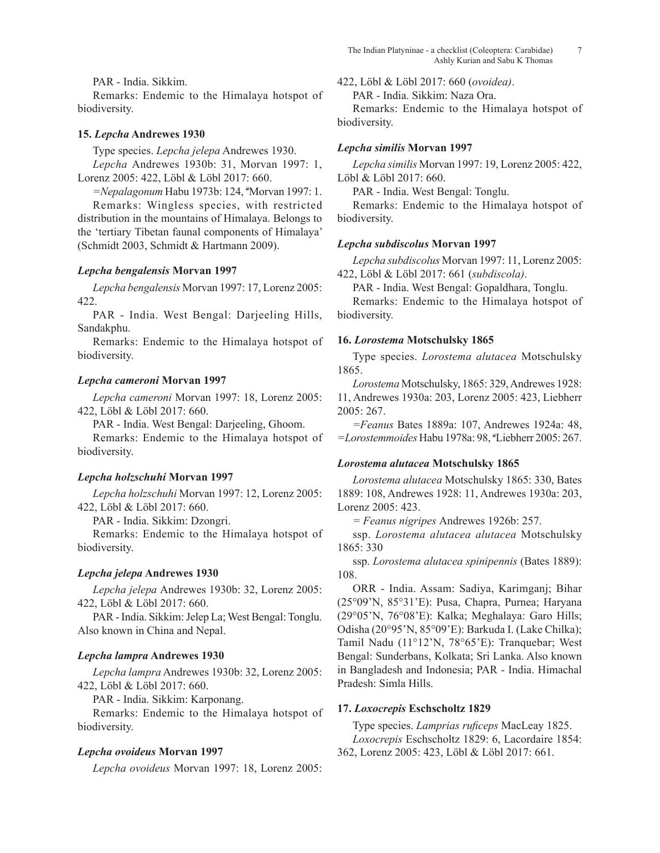PAR - India. Sikkim.

Remarks: Endemic to the Himalaya hotspot of biodiversity.

## **15.** *Lepcha* **Andrewes 1930**

Type species. *Lepcha jelepa* Andrewes 1930. *Lepcha* Andrewes 1930b: 31, Morvan 1997: 1, Lorenz 2005: 422, Löbl & Löbl 2017: 660.

*=Nepalagonum* Habu 1973b: 124, # Morvan 1997: 1. Remarks: Wingless species, with restricted distribution in the mountains of Himalaya. Belongs to the 'tertiary Tibetan faunal components of Himalaya' (Schmidt 2003, Schmidt & Hartmann 2009).

## *Lepcha bengalensis* **Morvan 1997**

*Lepcha bengalensis* Morvan 1997: 17, Lorenz 2005: 422.

PAR - India. West Bengal: Darjeeling Hills, Sandakphu.

Remarks: Endemic to the Himalaya hotspot of biodiversity.

## *Lepcha cameroni* **Morvan 1997**

*Lepcha cameroni* Morvan 1997: 18, Lorenz 2005: 422, Löbl & Löbl 2017: 660.

PAR - India. West Bengal: Darjeeling, Ghoom.

Remarks: Endemic to the Himalaya hotspot of biodiversity.

# *Lepcha holzschuhi* **Morvan 1997**

*Lepcha holzschuhi* Morvan 1997: 12, Lorenz 2005: 422, Löbl & Löbl 2017: 660.

PAR - India. Sikkim: Dzongri.

Remarks: Endemic to the Himalaya hotspot of biodiversity.

# *Lepcha jelepa* **Andrewes 1930**

*Lepcha jelepa* Andrewes 1930b: 32, Lorenz 2005: 422, Löbl & Löbl 2017: 660.

PAR - India. Sikkim: Jelep La; West Bengal: Tonglu. Also known in China and Nepal.

# *Lepcha lampra* **Andrewes 1930**

*Lepcha lampra* Andrewes 1930b: 32, Lorenz 2005: 422, Löbl & Löbl 2017: 660.

PAR - India. Sikkim: Karponang.

Remarks: Endemic to the Himalaya hotspot of biodiversity.

# *Lepcha ovoideus* **Morvan 1997**

*Lepcha ovoideus* Morvan 1997: 18, Lorenz 2005:

422, Löbl & Löbl 2017: 660 (*ovoidea)*.

PAR - India. Sikkim: Naza Ora.

Remarks: Endemic to the Himalaya hotspot of biodiversity.

## *Lepcha similis* **Morvan 1997**

*Lepcha similis* Morvan 1997: 19, Lorenz 2005: 422, Löbl & Löbl 2017: 660.

PAR - India. West Bengal: Tonglu.

Remarks: Endemic to the Himalaya hotspot of biodiversity.

## *Lepcha subdiscolus* **Morvan 1997**

*Lepcha subdiscolus* Morvan 1997: 11, Lorenz 2005: 422, Löbl & Löbl 2017: 661 (*subdiscola)*.

PAR - India. West Bengal: Gopaldhara, Tonglu.

Remarks: Endemic to the Himalaya hotspot of biodiversity.

## **16.** *Lorostema* **Motschulsky 1865**

Type species. *Lorostema alutacea* Motschulsky 1865.

*Lorostema* Motschulsky, 1865: 329, Andrewes 1928: 11, Andrewes 1930a: 203, Lorenz 2005: 423, Liebherr 2005: 267.

*=Feanus* Bates 1889a: 107, Andrewes 1924a: 48, *=Lorostemmoides* Habu 1978a: 98, # Liebherr 2005: 267.

# *Lorostema alutacea* **Motschulsky 1865**

*Lorostema alutacea* Motschulsky 1865: 330, Bates 1889: 108, Andrewes 1928: 11, Andrewes 1930a: 203, Lorenz 2005: 423.

*= Feanus nigripes* Andrewes 1926b: 257.

ssp. *Lorostema alutacea alutacea* Motschulsky 1865: 330

ssp. *Lorostema alutacea spinipennis* (Bates 1889): 108.

ORR - India. Assam: Sadiya, Karimganj; Bihar (25°09'N, 85°31'E): Pusa, Chapra, Purnea; Haryana (29°05'N, 76°08'E): Kalka; Meghalaya: Garo Hills; Odisha (20°95'N, 85°09'E): Barkuda I. (Lake Chilka); Tamil Nadu (11°12'N, 78°65'E): Tranquebar; West Bengal: Sunderbans, Kolkata; Sri Lanka. Also known in Bangladesh and Indonesia; PAR - India. Himachal Pradesh: Simla Hills.

# **17.** *Loxocrepis* **Eschscholtz 1829**

Type species. *Lamprias ruficeps* MacLeay 1825. *Loxocrepis* Eschscholtz 1829: 6, Lacordaire 1854: 362, Lorenz 2005: 423, Löbl & Löbl 2017: 661.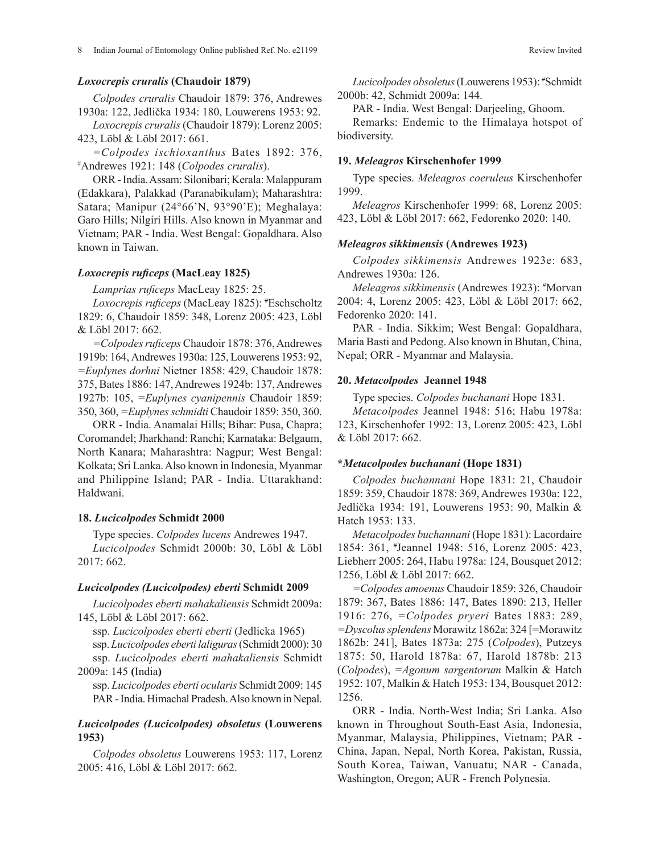### *Loxocrepis cruralis* **(Chaudoir 1879)**

*Colpodes cruralis* Chaudoir 1879: 376, Andrewes 1930a: 122, Jedlička 1934: 180, Louwerens 1953: 92.

*Loxocrepis cruralis* (Chaudoir 1879): Lorenz 2005: 423, Löbl & Löbl 2017: 661.

*=Colpodes ischioxanthus* Bates 1892: 376, # Andrewes 1921: 148 (*Colpodes cruralis*).

ORR - India. Assam: Silonibari; Kerala: Malappuram (Edakkara), Palakkad (Paranabikulam); Maharashtra: Satara; Manipur (24°66'N, 93°90'E); Meghalaya: Garo Hills; Nilgiri Hills. Also known in Myanmar and Vietnam; PAR - India. West Bengal: Gopaldhara. Also known in Taiwan.

## *Loxocrepis ruficeps* **(MacLeay 1825)**

*Lamprias ruficeps* MacLeay 1825: 25.

*Loxocrepis ruficeps* (MacLeay 1825): # Eschscholtz 1829: 6, Chaudoir 1859: 348, Lorenz 2005: 423, Löbl & Löbl 2017: 662.

*=Colpodes ruficeps* Chaudoir 1878: 376, Andrewes 1919b: 164, Andrewes 1930a: 125, Louwerens 1953: 92, *=Euplynes dorhni* Nietner 1858: 429, Chaudoir 1878: 375, Bates 1886: 147, Andrewes 1924b: 137, Andrewes 1927b: 105, *=Euplynes cyanipennis* Chaudoir 1859: 350, 360, *=Euplynes schmidti* Chaudoir 1859: 350, 360.

ORR - India. Anamalai Hills; Bihar: Pusa, Chapra; Coromandel; Jharkhand: Ranchi; Karnataka: Belgaum, North Kanara; Maharashtra: Nagpur; West Bengal: Kolkata; Sri Lanka. Also known in Indonesia, Myanmar and Philippine Island; PAR - India. Uttarakhand: Haldwani.

### **18.** *Lucicolpodes* **Schmidt 2000**

Type species. *Colpodes lucens* Andrewes 1947. *Lucicolpodes* Schmidt 2000b: 30, Löbl & Löbl 2017: 662.

#### *Lucicolpodes (Lucicolpodes) eberti* **Schmidt 2009**

*Lucicolpodes eberti mahakaliensis* Schmidt 2009a: 145, Löbl & Löbl 2017: 662.

ssp. *Lucicolpodes eberti eberti* (Jedlicka 1965) ssp. *Lucicolpodes eberti laliguras* (Schmidt 2000): 30 ssp. *Lucicolpodes eberti mahakaliensis* Schmidt 2009a: 145 **(**India**)**

ssp. *Lucicolpodes eberti ocularis* Schmidt 2009: 145 PAR - India. Himachal Pradesh. Also known in Nepal.

## *Lucicolpodes (Lucicolpodes) obsoletus* **(Louwerens 1953)**

*Colpodes obsoletus* Louwerens 1953: 117, Lorenz 2005: 416, Löbl & Löbl 2017: 662.

*Lucicolpodes obsoletus* (Louwerens 1953): # Schmidt 2000b: 42, Schmidt 2009a: 144.

PAR - India. West Bengal: Darjeeling, Ghoom.

Remarks: Endemic to the Himalaya hotspot of biodiversity.

#### **19.** *Meleagros* **Kirschenhofer 1999**

Type species. *Meleagros coeruleus* Kirschenhofer 1999.

*Meleagros* Kirschenhofer 1999: 68, Lorenz 2005: 423, Löbl & Löbl 2017: 662, Fedorenko 2020: 140.

#### *Meleagros sikkimensis* **(Andrewes 1923)**

*Colpodes sikkimensis* Andrewes 1923e: 683, Andrewes 1930a: 126.

*Meleagros sikkimensis* (Andrewes 1923): # Morvan 2004: 4, Lorenz 2005: 423, Löbl & Löbl 2017: 662, Fedorenko 2020: 141.

PAR - India. Sikkim; West Bengal: Gopaldhara, Maria Basti and Pedong. Also known in Bhutan, China, Nepal; ORR - Myanmar and Malaysia.

### **20.** *Metacolpodes* **Jeannel 1948**

Type species. *Colpodes buchanani* Hope 1831.

*Metacolpodes* Jeannel 1948: 516; Habu 1978a: 123, Kirschenhofer 1992: 13, Lorenz 2005: 423, Löbl & Löbl 2017: 662.

#### **\****Metacolpodes buchanani* **(Hope 1831)**

*Colpodes buchannani* Hope 1831: 21, Chaudoir 1859: 359, Chaudoir 1878: 369, Andrewes 1930a: 122, Jedlička 1934: 191, Louwerens 1953: 90, Malkin & Hatch 1953: 133.

*Metacolpodes buchannani* (Hope 1831): Lacordaire 1854: 361, # Jeannel 1948: 516, Lorenz 2005: 423, Liebherr 2005: 264, Habu 1978a: 124, Bousquet 2012: 1256, Löbl & Löbl 2017: 662.

*=Colpodes amoenus* Chaudoir 1859: 326, Chaudoir 1879: 367, Bates 1886: 147, Bates 1890: 213, Heller 1916: 276, *=Colpodes pryeri* Bates 1883: 289, *=Dyscolussplendens* Morawitz 1862a: 324 [=Morawitz 1862b: 241], Bates 1873a: 275 (*Colpodes*), Putzeys 1875: 50, Harold 1878a: 67, Harold 1878b: 213 (*Colpodes*), *=Agonum sargentorum* Malkin & Hatch 1952: 107, Malkin & Hatch 1953: 134, Bousquet 2012: 1256.

ORR - India. North-West India; Sri Lanka. Also known in Throughout South-East Asia, Indonesia, Myanmar, Malaysia, Philippines, Vietnam; PAR - China, Japan, Nepal, North Korea, Pakistan, Russia, South Korea, Taiwan, Vanuatu; NAR - Canada, Washington, Oregon; AUR - French Polynesia.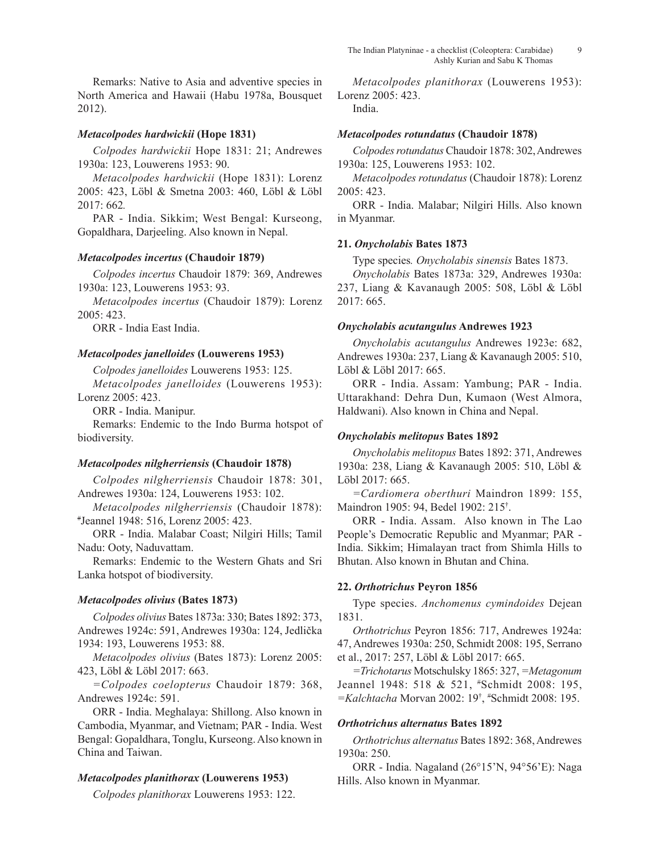Remarks: Native to Asia and adventive species in North America and Hawaii (Habu 1978a, Bousquet 2012).

# *Metacolpodes hardwickii* **(Hope 1831)**

*Colpodes hardwickii* Hope 1831: 21; Andrewes 1930a: 123, Louwerens 1953: 90.

*Metacolpodes hardwickii* (Hope 1831): Lorenz 2005: 423, Löbl & Smetna 2003: 460, Löbl & Löbl 2017: 662*.*

PAR - India. Sikkim; West Bengal: Kurseong, Gopaldhara, Darjeeling. Also known in Nepal.

## *Metacolpodes incertus* **(Chaudoir 1879)**

*Colpodes incertus* Chaudoir 1879: 369, Andrewes 1930a: 123, Louwerens 1953: 93.

*Metacolpodes incertus* (Chaudoir 1879): Lorenz 2005: 423.

ORR - India East India.

### *Metacolpodes janelloides* **(Louwerens 1953)**

*Colpodes janelloides* Louwerens 1953: 125. *Metacolpodes janelloides* (Louwerens 1953): Lorenz 2005: 423.

ORR - India. Manipur.

Remarks: Endemic to the Indo Burma hotspot of biodiversity.

## *Metacolpodes nilgherriensis* **(Chaudoir 1878)**

*Colpodes nilgherriensis* Chaudoir 1878: 301, Andrewes 1930a: 124, Louwerens 1953: 102.

*Metacolpodes nilgherriensis* (Chaudoir 1878): Jeannel 1948: 516, Lorenz 2005: 423.

ORR - India. Malabar Coast; Nilgiri Hills; Tamil Nadu: Ooty, Naduvattam.

Remarks: Endemic to the Western Ghats and Sri Lanka hotspot of biodiversity.

## *Metacolpodes olivius* **(Bates 1873)**

*Colpodes olivius* Bates 1873a: 330; Bates 1892: 373, Andrewes 1924c: 591, Andrewes 1930a: 124, Jedlička 1934: 193, Louwerens 1953: 88.

*Metacolpodes olivius* (Bates 1873): Lorenz 2005: 423, Löbl & Löbl 2017: 663.

*=Colpodes coelopterus* Chaudoir 1879: 368, Andrewes 1924c: 591.

ORR - India. Meghalaya: Shillong. Also known in Cambodia, Myanmar, and Vietnam; PAR - India. West Bengal: Gopaldhara, Tonglu, Kurseong. Also known in China and Taiwan.

## *Metacolpodes planithorax* **(Louwerens 1953)**

*Colpodes planithorax* Louwerens 1953: 122.

*Metacolpodes planithorax* (Louwerens 1953): Lorenz 2005: 423. India.

# *Metacolpodes rotundatus* **(Chaudoir 1878)**

*Colpodes rotundatus* Chaudoir 1878: 302, Andrewes 1930a: 125, Louwerens 1953: 102.

*Metacolpodes rotundatus* (Chaudoir 1878): Lorenz 2005: 423.

ORR - India. Malabar; Nilgiri Hills. Also known in Myanmar.

### **21.** *Onycholabis* **Bates 1873**

Type species*. Onycholabis sinensis* Bates 1873.

*Onycholabis* Bates 1873a: 329, Andrewes 1930a: 237, Liang & Kavanaugh 2005: 508, Löbl & Löbl 2017: 665.

### *Onycholabis acutangulus* **Andrewes 1923**

*Onycholabis acutangulus* Andrewes 1923e: 682, Andrewes 1930a: 237, Liang & Kavanaugh 2005: 510, Löbl & Löbl 2017: 665.

ORR - India. Assam: Yambung; PAR - India. Uttarakhand: Dehra Dun, Kumaon (West Almora, Haldwani). Also known in China and Nepal.

### *Onycholabis melitopus* **Bates 1892**

*Onycholabis melitopus* Bates 1892: 371, Andrewes 1930a: 238, Liang & Kavanaugh 2005: 510, Löbl & Löbl 2017: 665.

*=Cardiomera oberthuri* Maindron 1899: 155, Maindron 1905: 94, Bedel 1902: 215† .

ORR - India. Assam. Also known in The Lao People's Democratic Republic and Myanmar; PAR - India. Sikkim; Himalayan tract from Shimla Hills to Bhutan. Also known in Bhutan and China.

## **22.** *Orthotrichus* **Peyron 1856**

Type species. *Anchomenus cymindoides* Dejean 1831.

*Orthotrichus* Peyron 1856: 717, Andrewes 1924a: 47, Andrewes 1930a: 250, Schmidt 2008: 195, Serrano et al., 2017: 257, Löbl & Löbl 2017: 665.

*=Trichotarus* Motschulsky 1865: 327, *=Metagonum* Jeannel 1948: 518 & 521, # Schmidt 2008: 195, *=Kalchtacha* Morvan 2002: 19† , # Schmidt 2008: 195.

### *Orthotrichus alternatus* **Bates 1892**

*Orthotrichus alternatus* Bates 1892: 368, Andrewes 1930a: 250.

ORR - India. Nagaland (26°15'N, 94°56'E): Naga Hills. Also known in Myanmar.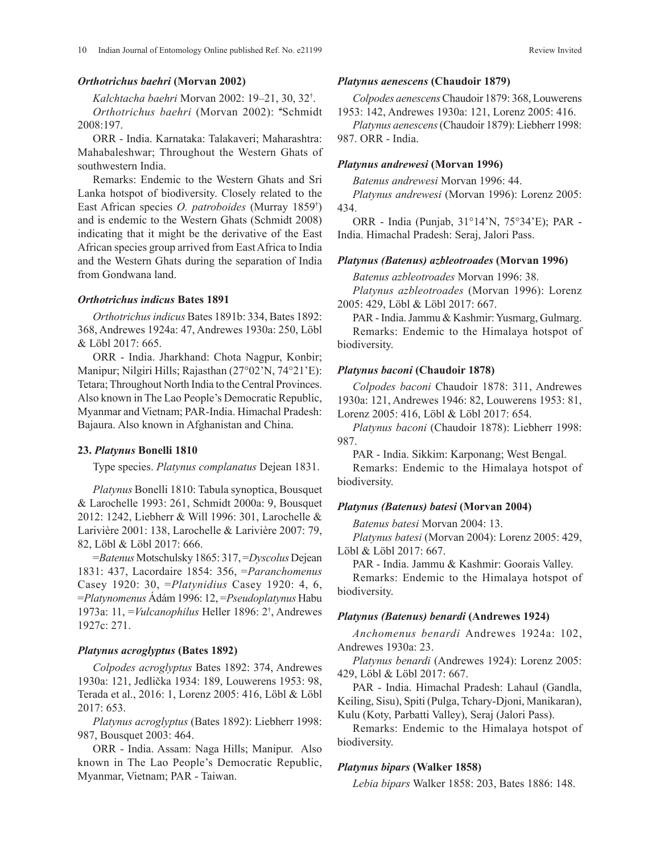### *Orthotrichus baehri* **(Morvan 2002)**

*Kalchtacha baehri* Morvan 2002: 19–21, 30, 32† .

*Orthotrichus baehri* (Morvan 2002): # Schmidt 2008:197.

ORR - India. Karnataka: Talakaveri; Maharashtra: Mahabaleshwar; Throughout the Western Ghats of southwestern India.

Remarks: Endemic to the Western Ghats and Sri Lanka hotspot of biodiversity. Closely related to the East African species *O. patroboides* (Murray 1859† ) and is endemic to the Western Ghats (Schmidt 2008) indicating that it might be the derivative of the East African species group arrived from East Africa to India and the Western Ghats during the separation of India from Gondwana land.

### *Orthotrichus indicus* **Bates 1891**

*Orthotrichus indicus* Bates 1891b: 334, Bates 1892: 368, Andrewes 1924a: 47, Andrewes 1930a: 250, Löbl & Löbl 2017: 665.

ORR - India. Jharkhand: Chota Nagpur, Konbir; Manipur; Nilgiri Hills; Rajasthan (27°02'N, 74°21'E): Tetara; Throughout North India to the Central Provinces. Also known in The Lao People's Democratic Republic, Myanmar and Vietnam; PAR-India. Himachal Pradesh: Bajaura. Also known in Afghanistan and China.

## **23.** *Platynus* **Bonelli 1810**

Type species. *Platynus complanatus* Dejean 1831.

*Platynus* Bonelli 1810: Tabula synoptica, Bousquet & Larochelle 1993: 261, Schmidt 2000a: 9, Bousquet 2012: 1242, Liebherr & Will 1996: 301, Larochelle & Larivière 2001: 138, Larochelle & Larivière 2007: 79, 82, Löbl & Löbl 2017: 666.

=*Batenus* Motschulsky 1865: 317, =*Dyscolus* Dejean 1831: 437, Lacordaire 1854: 356, =*Paranchomenus* Casey 1920: 30, =*Platynidius* Casey 1920: 4, 6, =*Platynomenus* Ádám 1996: 12, =*Pseudoplatynus* Habu 1973a: 11, =*Vulcanophilus* Heller 1896: 2† , Andrewes 1927c: 271.

### *Platynus acroglyptus* **(Bates 1892)**

*Colpodes acroglyptus* Bates 1892: 374, Andrewes 1930a: 121, Jedlička 1934: 189, Louwerens 1953: 98, Terada et al., 2016: 1, Lorenz 2005: 416, Löbl & Löbl 2017: 653.

*Platynus acroglyptus* (Bates 1892): Liebherr 1998: 987, Bousquet 2003: 464.

ORR - India. Assam: Naga Hills; Manipur. Also known in The Lao People's Democratic Republic, Myanmar, Vietnam; PAR - Taiwan.

#### *Platynus aenescens* **(Chaudoir 1879)**

*Colpodes aenescens* Chaudoir 1879: 368, Louwerens 1953: 142, Andrewes 1930a: 121, Lorenz 2005: 416.

*Platynus aenescens* (Chaudoir 1879): Liebherr 1998: 987. ORR - India.

### *Platynus andrewesi* **(Morvan 1996)**

*Batenus andrewesi* Morvan 1996: 44.

*Platynus andrewesi* (Morvan 1996): Lorenz 2005: 434.

ORR - India (Punjab, 31°14'N, 75°34'E); PAR - India. Himachal Pradesh: Seraj, Jalori Pass.

### *Platynus (Batenus) azbleotroades* **(Morvan 1996)**

*Batenus azbleotroades* Morvan 1996: 38.

*Platynus azbleotroades* (Morvan 1996): Lorenz 2005: 429, Löbl & Löbl 2017: 667.

PAR - India. Jammu & Kashmir: Yusmarg, Gulmarg. Remarks: Endemic to the Himalaya hotspot of biodiversity.

### *Platynus baconi* **(Chaudoir 1878)**

*Colpodes baconi* Chaudoir 1878: 311, Andrewes 1930a: 121, Andrewes 1946: 82, Louwerens 1953: 81, Lorenz 2005: 416, Löbl & Löbl 2017: 654.

*Platynus baconi* (Chaudoir 1878): Liebherr 1998: 987.

PAR - India. Sikkim: Karponang; West Bengal.

Remarks: Endemic to the Himalaya hotspot of biodiversity.

### *Platynus (Batenus) batesi* **(Morvan 2004)**

*Batenus batesi* Morvan 2004: 13.

*Platynus batesi* (Morvan 2004): Lorenz 2005: 429, Löbl & Löbl 2017: 667.

PAR - India. Jammu & Kashmir: Goorais Valley.

Remarks: Endemic to the Himalaya hotspot of biodiversity.

### *Platynus (Batenus) benardi* **(Andrewes 1924)**

*Anchomenus benardi* Andrewes 1924a: 102, Andrewes 1930a: 23.

*Platynus benardi* (Andrewes 1924): Lorenz 2005: 429, Löbl & Löbl 2017: 667.

PAR - India. Himachal Pradesh: Lahaul (Gandla, Keiling, Sisu), Spiti (Pulga, Tchary-Djoni, Manikaran), Kulu (Koty, Parbatti Valley), Seraj (Jalori Pass).

Remarks: Endemic to the Himalaya hotspot of biodiversity.

#### *Platynus bipars* **(Walker 1858)**

*Lebia bipars* Walker 1858: 203, Bates 1886: 148.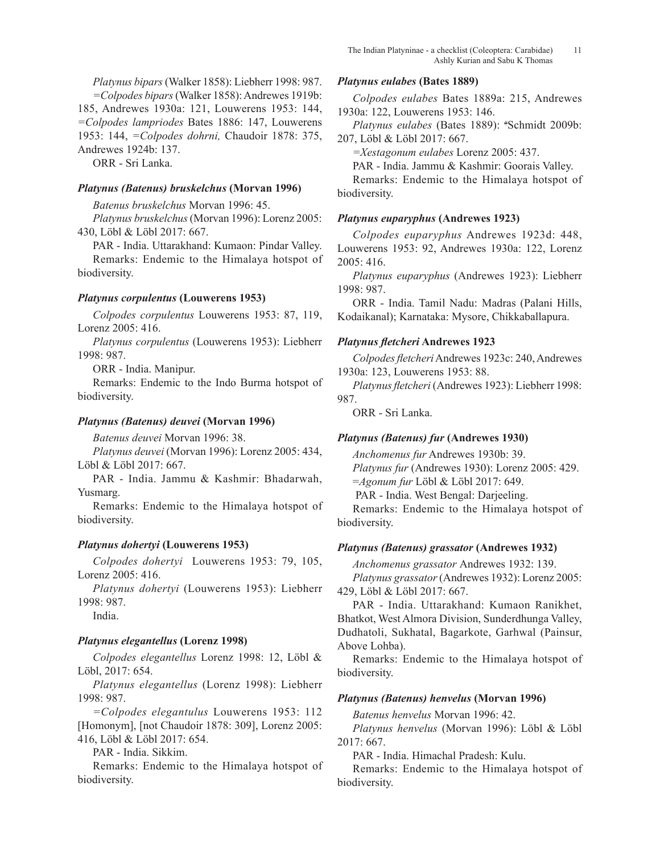*Platynus bipars* (Walker 1858): Liebherr 1998: 987. *=Colpodes bipars* (Walker 1858): Andrewes 1919b: 185, Andrewes 1930a: 121, Louwerens 1953: 144, *=Colpodes lampriodes* Bates 1886: 147, Louwerens 1953: 144, *=Colpodes dohrni,* Chaudoir 1878: 375, Andrewes 1924b: 137.

ORR - Sri Lanka.

# *Platynus (Batenus) bruskelchus* **(Morvan 1996)**

*Batenus bruskelchus* Morvan 1996: 45.

*Platynus bruskelchus* (Morvan 1996): Lorenz 2005: 430, Löbl & Löbl 2017: 667.

PAR - India. Uttarakhand: Kumaon: Pindar Valley. Remarks: Endemic to the Himalaya hotspot of biodiversity.

## *Platynus corpulentus* **(Louwerens 1953)**

*Colpodes corpulentus* Louwerens 1953: 87, 119, Lorenz 2005: 416.

*Platynus corpulentus* (Louwerens 1953): Liebherr 1998: 987.

ORR - India. Manipur.

Remarks: Endemic to the Indo Burma hotspot of biodiversity.

## *Platynus (Batenus) deuvei* **(Morvan 1996)**

*Batenus deuvei* Morvan 1996: 38.

*Platynus deuvei* (Morvan 1996): Lorenz 2005: 434, Löbl & Löbl 2017: 667.

PAR - India. Jammu & Kashmir: Bhadarwah, Yusmarg.

Remarks: Endemic to the Himalaya hotspot of biodiversity.

## *Platynus dohertyi* **(Louwerens 1953)**

*Colpodes dohertyi* Louwerens 1953: 79, 105, Lorenz 2005: 416.

*Platynus dohertyi* (Louwerens 1953): Liebherr 1998: 987.

India.

## *Platynus elegantellus* **(Lorenz 1998)**

*Colpodes elegantellus* Lorenz 1998: 12, Löbl & Löbl, 2017: 654.

*Platynus elegantellus* (Lorenz 1998): Liebherr 1998: 987.

*=Colpodes elegantulus* Louwerens 1953: 112 [Homonym], [not Chaudoir 1878: 309], Lorenz 2005: 416, Löbl & Löbl 2017: 654.

PAR - India. Sikkim.

Remarks: Endemic to the Himalaya hotspot of biodiversity.

### *Platynus eulabes* **(Bates 1889)**

*Colpodes eulabes* Bates 1889a: 215, Andrewes 1930a: 122, Louwerens 1953: 146.

*Platynus eulabes* (Bates 1889): # Schmidt 2009b: 207, Löbl & Löbl 2017: 667.

*=Xestagonum eulabes* Lorenz 2005: 437.

PAR - India. Jammu & Kashmir: Goorais Valley.

Remarks: Endemic to the Himalaya hotspot of biodiversity.

## *Platynus euparyphus* **(Andrewes 1923)**

*Colpodes euparyphus* Andrewes 1923d: 448, Louwerens 1953: 92, Andrewes 1930a: 122, Lorenz 2005: 416.

*Platynus euparyphus* (Andrewes 1923): Liebherr 1998: 987.

ORR - India. Tamil Nadu: Madras (Palani Hills, Kodaikanal); Karnataka: Mysore, Chikkaballapura.

### *Platynus fletcheri* **Andrewes 1923**

*Colpodes fletcheri* Andrewes 1923c: 240, Andrewes 1930a: 123, Louwerens 1953: 88.

*Platynus fletcheri* (Andrewes 1923): Liebherr 1998: 987.

ORR - Sri Lanka.

## *Platynus (Batenus) fur* **(Andrewes 1930)**

*Anchomenus fur* Andrewes 1930b: 39. *Platynus fur* (Andrewes 1930): Lorenz 2005: 429. =*Agonum fur* Löbl & Löbl 2017: 649.

PAR - India. West Bengal: Darjeeling.

Remarks: Endemic to the Himalaya hotspot of biodiversity.

## *Platynus (Batenus) grassator* **(Andrewes 1932)**

*Anchomenus grassator* Andrewes 1932: 139. *Platynus grassator* (Andrewes 1932): Lorenz 2005: 429, Löbl & Löbl 2017: 667.

PAR - India. Uttarakhand: Kumaon Ranikhet, Bhatkot, West Almora Division, Sunderdhunga Valley, Dudhatoli, Sukhatal, Bagarkote, Garhwal (Painsur, Above Lohba).

Remarks: Endemic to the Himalaya hotspot of biodiversity.

### *Platynus (Batenus) henvelus* **(Morvan 1996)**

*Batenus henvelus* Morvan 1996: 42.

*Platynus henvelus* (Morvan 1996): Löbl & Löbl 2017: 667.

PAR - India. Himachal Pradesh: Kulu.

Remarks: Endemic to the Himalaya hotspot of biodiversity.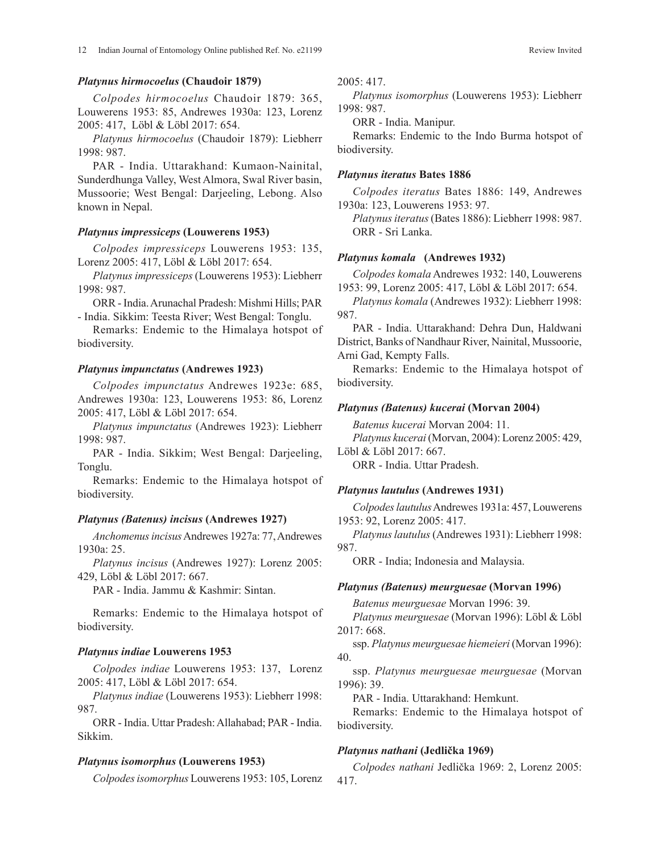### *Platynus hirmocoelus* **(Chaudoir 1879)**

*Colpodes hirmocoelus* Chaudoir 1879: 365, Louwerens 1953: 85, Andrewes 1930a: 123, Lorenz 2005: 417, Löbl & Löbl 2017: 654.

*Platynus hirmocoelus* (Chaudoir 1879): Liebherr 1998: 987.

PAR - India. Uttarakhand: Kumaon-Nainital, Sunderdhunga Valley, West Almora, Swal River basin, Mussoorie; West Bengal: Darjeeling, Lebong. Also known in Nepal.

### *Platynus impressiceps* **(Louwerens 1953)**

*Colpodes impressiceps* Louwerens 1953: 135, Lorenz 2005: 417, Löbl & Löbl 2017: 654.

*Platynus impressiceps* (Louwerens 1953): Liebherr 1998: 987.

ORR - India. Arunachal Pradesh: Mishmi Hills; PAR - India. Sikkim: Teesta River; West Bengal: Tonglu.

Remarks: Endemic to the Himalaya hotspot of biodiversity.

#### *Platynus impunctatus* **(Andrewes 1923)**

*Colpodes impunctatus* Andrewes 1923e: 685, Andrewes 1930a: 123, Louwerens 1953: 86, Lorenz 2005: 417, Löbl & Löbl 2017: 654.

*Platynus impunctatus* (Andrewes 1923): Liebherr 1998: 987.

PAR - India. Sikkim; West Bengal: Darjeeling, Tonglu.

Remarks: Endemic to the Himalaya hotspot of biodiversity.

### *Platynus (Batenus) incisus* **(Andrewes 1927)**

*Anchomenus incisus* Andrewes 1927a: 77, Andrewes 1930a: 25.

*Platynus incisus* (Andrewes 1927): Lorenz 2005: 429, Löbl & Löbl 2017: 667.

PAR - India. Jammu & Kashmir: Sintan.

Remarks: Endemic to the Himalaya hotspot of biodiversity.

### *Platynus indiae* **Louwerens 1953**

*Colpodes indiae* Louwerens 1953: 137, Lorenz 2005: 417, Löbl & Löbl 2017: 654.

*Platynus indiae* (Louwerens 1953): Liebherr 1998: 987.

ORR - India. Uttar Pradesh: Allahabad; PAR - India. Sikkim.

### *Platynus isomorphus* **(Louwerens 1953)**

*Colpodes isomorphus* Louwerens 1953: 105, Lorenz

2005: 417.

*Platynus isomorphus* (Louwerens 1953): Liebherr 1998: 987.

ORR - India. Manipur.

Remarks: Endemic to the Indo Burma hotspot of biodiversity.

#### *Platynus iteratus* **Bates 1886**

*Colpodes iteratus* Bates 1886: 149, Andrewes 1930a: 123, Louwerens 1953: 97.

*Platynus iteratus* (Bates 1886): Liebherr 1998: 987. ORR - Sri Lanka.

### *Platynus komala* **(Andrewes 1932)**

*Colpodes komala* Andrewes 1932: 140, Louwerens 1953: 99, Lorenz 2005: 417, Löbl & Löbl 2017: 654.

*Platynus komala* (Andrewes 1932): Liebherr 1998: 987.

PAR - India. Uttarakhand: Dehra Dun, Haldwani District, Banks of Nandhaur River, Nainital, Mussoorie, Arni Gad, Kempty Falls.

Remarks: Endemic to the Himalaya hotspot of biodiversity.

### *Platynus (Batenus) kucerai* **(Morvan 2004)**

*Batenus kucerai* Morvan 2004: 11.

*Platynus kucerai* (Morvan, 2004): Lorenz 2005: 429,

Löbl & Löbl 2017: 667.

ORR - India. Uttar Pradesh.

#### *Platynus lautulus* **(Andrewes 1931)**

*Colpodes lautulus* Andrewes 1931a: 457, Louwerens 1953: 92, Lorenz 2005: 417.

*Platynus lautulus* (Andrewes 1931): Liebherr 1998: 987.

ORR - India; Indonesia and Malaysia.

### *Platynus (Batenus) meurguesae* **(Morvan 1996)**

*Batenus meurguesae* Morvan 1996: 39.

*Platynus meurguesae* (Morvan 1996): Löbl & Löbl 2017: 668.

ssp. *Platynus meurguesae hiemeieri* (Morvan 1996): 40.

ssp. *Platynus meurguesae meurguesae* (Morvan 1996): 39.

PAR - India. Uttarakhand: Hemkunt.

Remarks: Endemic to the Himalaya hotspot of biodiversity.

### *Platynus nathani* **(Jedlička 1969)**

*Colpodes nathani* Jedlička 1969: 2, Lorenz 2005: 417.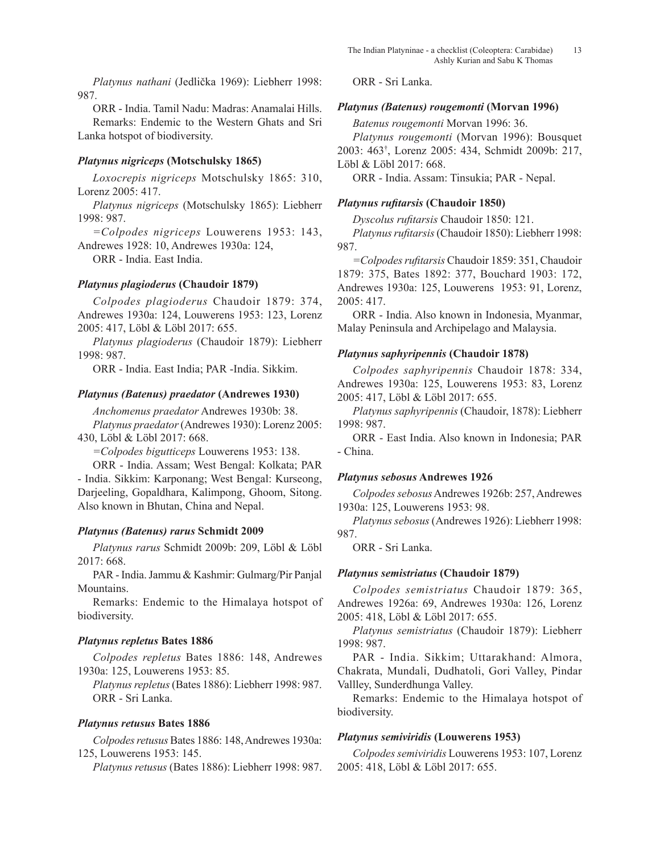*Platynus nathani* (Jedlička 1969): Liebherr 1998: 987.

ORR - India. Tamil Nadu: Madras: Anamalai Hills. Remarks: Endemic to the Western Ghats and Sri Lanka hotspot of biodiversity.

# *Platynus nigriceps* **(Motschulsky 1865)**

*Loxocrepis nigriceps* Motschulsky 1865: 310, Lorenz 2005: 417.

*Platynus nigriceps* (Motschulsky 1865): Liebherr 1998: 987.

*=Colpodes nigriceps* Louwerens 1953: 143, Andrewes 1928: 10, Andrewes 1930a: 124,

ORR - India. East India.

# *Platynus plagioderus* **(Chaudoir 1879)**

*Colpodes plagioderus* Chaudoir 1879: 374, Andrewes 1930a: 124, Louwerens 1953: 123, Lorenz 2005: 417, Löbl & Löbl 2017: 655.

*Platynus plagioderus* (Chaudoir 1879): Liebherr 1998: 987.

ORR - India. East India; PAR -India. Sikkim.

# *Platynus (Batenus) praedator* **(Andrewes 1930)**

*Anchomenus praedator* Andrewes 1930b: 38. *Platynus praedator* (Andrewes 1930): Lorenz 2005: 430, Löbl & Löbl 2017: 668.

*=Colpodes bigutticeps* Louwerens 1953: 138.

ORR - India. Assam; West Bengal: Kolkata; PAR - India. Sikkim: Karponang; West Bengal: Kurseong, Darjeeling, Gopaldhara, Kalimpong, Ghoom, Sitong. Also known in Bhutan, China and Nepal.

# *Platynus (Batenus) rarus* **Schmidt 2009**

*Platynus rarus* Schmidt 2009b: 209, Löbl & Löbl 2017: 668.

PAR - India. Jammu & Kashmir: Gulmarg/Pir Panjal Mountains.

Remarks: Endemic to the Himalaya hotspot of biodiversity.

# *Platynus repletus* **Bates 1886**

*Colpodes repletus* Bates 1886: 148, Andrewes 1930a: 125, Louwerens 1953: 85.

*Platynus repletus* (Bates 1886): Liebherr 1998: 987. ORR - Sri Lanka.

# *Platynus retusus* **Bates 1886**

*Colpodes retusus* Bates 1886: 148, Andrewes 1930a: 125, Louwerens 1953: 145.

*Platynus retusus* (Bates 1886): Liebherr 1998: 987.

ORR - Sri Lanka.

# *Platynus (Batenus) rougemonti* **(Morvan 1996)**

*Batenus rougemonti* Morvan 1996: 36.

*Platynus rougemonti* (Morvan 1996): Bousquet 2003: 463† , Lorenz 2005: 434, Schmidt 2009b: 217, Löbl & Löbl 2017: 668.

ORR - India. Assam: Tinsukia; PAR - Nepal.

# *Platynus rufitarsis* **(Chaudoir 1850)**

*Dyscolus rufitarsis* Chaudoir 1850: 121.

*Platynus rufitarsis* (Chaudoir 1850): Liebherr 1998: 987.

*=Colpodes rufitarsis* Chaudoir 1859: 351, Chaudoir 1879: 375, Bates 1892: 377, Bouchard 1903: 172, Andrewes 1930a: 125, Louwerens 1953: 91, Lorenz, 2005: 417.

ORR - India. Also known in Indonesia, Myanmar, Malay Peninsula and Archipelago and Malaysia.

# *Platynus saphyripennis* **(Chaudoir 1878)**

*Colpodes saphyripennis* Chaudoir 1878: 334, Andrewes 1930a: 125, Louwerens 1953: 83, Lorenz 2005: 417, Löbl & Löbl 2017: 655.

*Platynus saphyripennis* (Chaudoir, 1878): Liebherr 1998: 987.

ORR - East India. Also known in Indonesia; PAR - China.

# *Platynus sebosus* **Andrewes 1926**

*Colpodes sebosus* Andrewes 1926b: 257, Andrewes 1930a: 125, Louwerens 1953: 98.

*Platynus sebosus* (Andrewes 1926): Liebherr 1998: 987.

ORR - Sri Lanka.

# *Platynus semistriatus* **(Chaudoir 1879)**

*Colpodes semistriatus* Chaudoir 1879: 365, Andrewes 1926a: 69, Andrewes 1930a: 126, Lorenz 2005: 418, Löbl & Löbl 2017: 655.

*Platynus semistriatus* (Chaudoir 1879): Liebherr 1998: 987.

PAR - India. Sikkim; Uttarakhand: Almora, Chakrata, Mundali, Dudhatoli, Gori Valley, Pindar Vallley, Sunderdhunga Valley.

Remarks: Endemic to the Himalaya hotspot of biodiversity.

# *Platynus semiviridis* **(Louwerens 1953)**

*Colpodes semiviridis* Louwerens 1953: 107, Lorenz 2005: 418, Löbl & Löbl 2017: 655.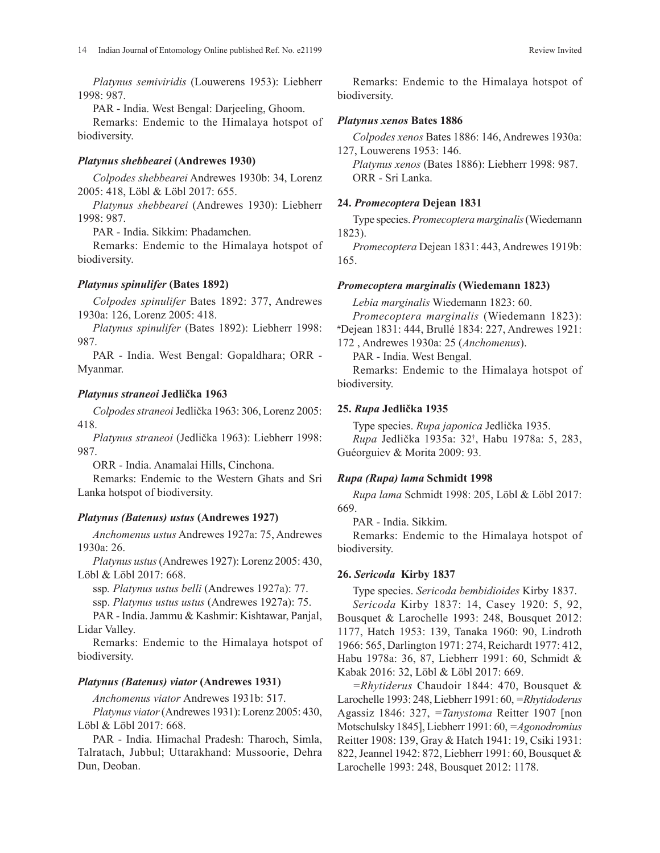*Platynus semiviridis* (Louwerens 1953): Liebherr 1998: 987.

PAR - India. West Bengal: Darjeeling, Ghoom.

Remarks: Endemic to the Himalaya hotspot of biodiversity.

## *Platynus shebbearei* **(Andrewes 1930)**

*Colpodes shebbearei* Andrewes 1930b: 34, Lorenz 2005: 418, Löbl & Löbl 2017: 655.

*Platynus shebbearei* (Andrewes 1930): Liebherr 1998: 987.

PAR - India. Sikkim: Phadamchen.

Remarks: Endemic to the Himalaya hotspot of biodiversity.

# *Platynus spinulifer* **(Bates 1892)**

*Colpodes spinulifer* Bates 1892: 377, Andrewes 1930a: 126, Lorenz 2005: 418.

*Platynus spinulifer* (Bates 1892): Liebherr 1998: 987.

PAR - India. West Bengal: Gopaldhara; ORR - Myanmar.

## *Platynus straneoi* **Jedlička 1963**

*Colpodes straneoi* Jedlička 1963: 306, Lorenz 2005: 418.

*Platynus straneoi* (Jedlička 1963): Liebherr 1998: 987.

ORR - India. Anamalai Hills, Cinchona.

Remarks: Endemic to the Western Ghats and Sri Lanka hotspot of biodiversity.

# *Platynus (Batenus) ustus* **(Andrewes 1927)**

*Anchomenus ustus* Andrewes 1927a: 75, Andrewes 1930a: 26.

*Platynus ustus* (Andrewes 1927): Lorenz 2005: 430, Löbl & Löbl 2017: 668.

ssp*. Platynus ustus belli* (Andrewes 1927a): 77.

ssp. *Platynus ustus ustus* (Andrewes 1927a): 75.

PAR - India. Jammu & Kashmir: Kishtawar, Panjal, Lidar Valley.

Remarks: Endemic to the Himalaya hotspot of biodiversity.

# *Platynus (Batenus) viator* **(Andrewes 1931)**

*Anchomenus viator* Andrewes 1931b: 517.

*Platynus viator* (Andrewes 1931): Lorenz 2005: 430, Löbl & Löbl 2017: 668.

PAR - India. Himachal Pradesh: Tharoch, Simla, Talratach, Jubbul; Uttarakhand: Mussoorie, Dehra Dun, Deoban.

Remarks: Endemic to the Himalaya hotspot of biodiversity.

## *Platynus xenos* **Bates 1886**

*Colpodes xenos* Bates 1886: 146, Andrewes 1930a: 127, Louwerens 1953: 146.

*Platynus xenos* (Bates 1886): Liebherr 1998: 987. ORR - Sri Lanka.

## **24.** *Promecoptera* **Dejean 1831**

Type species. *Promecoptera marginalis* (Wiedemann 1823).

*Promecoptera* Dejean 1831: 443, Andrewes 1919b: 165.

# *Promecoptera marginalis* **(Wiedemann 1823)**

*Lebia marginalis* Wiedemann 1823: 60.

*Promecoptera marginalis* (Wiedemann 1823):

# Dejean 1831: 444, Brullé 1834: 227, Andrewes 1921: 172 , Andrewes 1930a: 25 (*Anchomenus*).

PAR - India. West Bengal.

Remarks: Endemic to the Himalaya hotspot of biodiversity.

## **25.** *Rupa* **Jedlička 1935**

Type species. *Rupa japonica* Jedlička 1935. *Rupa* Jedlička 1935a: 32† , Habu 1978a: 5, 283, Guéorguiev & Morita 2009: 93.

## *Rupa (Rupa) lama* **Schmidt 1998**

*Rupa lama* Schmidt 1998: 205, Löbl & Löbl 2017: 669.

PAR - India. Sikkim.

Remarks: Endemic to the Himalaya hotspot of biodiversity.

# **26.** *Sericoda* **Kirby 1837**

Type species. *Sericoda bembidioides* Kirby 1837.

*Sericoda* Kirby 1837: 14, Casey 1920: 5, 92, Bousquet & Larochelle 1993: 248, Bousquet 2012: 1177, Hatch 1953: 139, Tanaka 1960: 90, Lindroth 1966: 565, Darlington 1971: 274, Reichardt 1977: 412, Habu 1978a: 36, 87, Liebherr 1991: 60, Schmidt & Kabak 2016: 32, Löbl & Löbl 2017: 669.

*=Rhytiderus* Chaudoir 1844: 470, Bousquet & Larochelle 1993: 248, Liebherr 1991: 60, *=Rhytidoderus* Agassiz 1846: 327, *=Tanystoma* Reitter 1907 [non Motschulsky 1845], Liebherr 1991: 60, *=Agonodromius* Reitter 1908: 139, Gray & Hatch 1941: 19, Csiki 1931: 822, Jeannel 1942: 872, Liebherr 1991: 60, Bousquet & Larochelle 1993: 248, Bousquet 2012: 1178.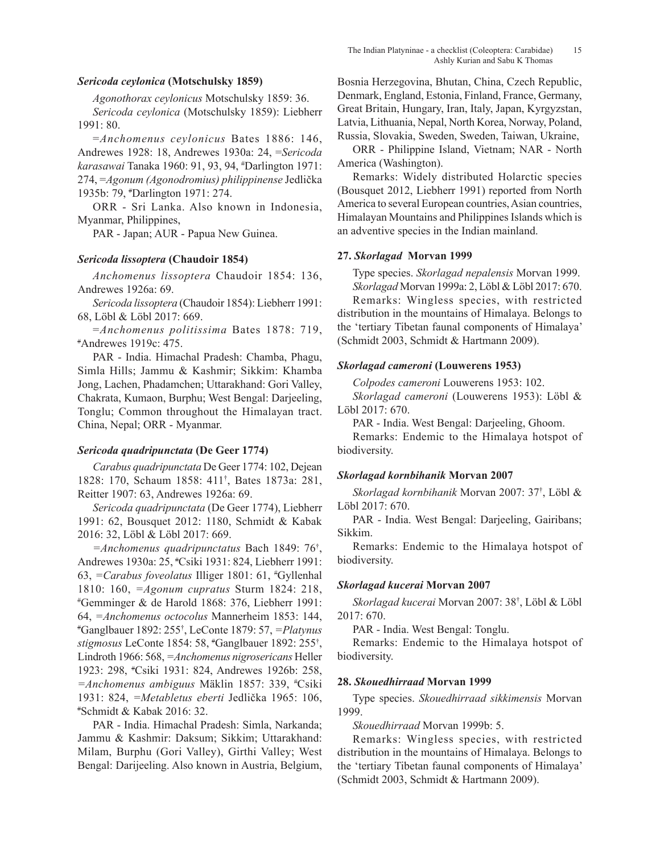## *Sericoda ceylonica* **(Motschulsky 1859)**

*Agonothorax ceylonicus* Motschulsky 1859: 36.

*Sericoda ceylonica* (Motschulsky 1859): Liebherr 1991: 80.

=*Anchomenus ceylonicus* Bates 1886: 146, Andrewes 1928: 18, Andrewes 1930a: 24, =*Sericoda karasawai* Tanaka 1960: 91, 93, 94, # Darlington 1971: 274, =*Agonum (Agonodromius) philippinense* Jedlička 1935b: 79, # Darlington 1971: 274.

ORR - Sri Lanka. Also known in Indonesia, Myanmar, Philippines,

PAR - Japan; AUR - Papua New Guinea.

### *Sericoda lissoptera* **(Chaudoir 1854)**

*Anchomenus lissoptera* Chaudoir 1854: 136, Andrewes 1926a: 69.

*Sericoda lissoptera* (Chaudoir 1854): Liebherr 1991: 68, Löbl & Löbl 2017: 669.

<sup>=</sup>*Anchomenus politissima* Bates 1878: 719, # Andrewes 1919c: 475.

PAR - India. Himachal Pradesh: Chamba, Phagu, Simla Hills; Jammu & Kashmir; Sikkim: Khamba Jong, Lachen, Phadamchen; Uttarakhand: Gori Valley, Chakrata, Kumaon, Burphu; West Bengal: Darjeeling, Tonglu; Common throughout the Himalayan tract. China, Nepal; ORR - Myanmar.

## *Sericoda quadripunctata* **(De Geer 1774)**

*Carabus quadripunctata* De Geer 1774: 102, Dejean 1828: 170, Schaum 1858: 411† , Bates 1873a: 281, Reitter 1907: 63, Andrewes 1926a: 69.

*Sericoda quadripunctata* (De Geer 1774), Liebherr 1991: 62, Bousquet 2012: 1180, Schmidt & Kabak 2016: 32, Löbl & Löbl 2017: 669.

*=Anchomenus quadripunctatus* Bach 1849: 76† , Andrewes 1930a: 25, # Csiki 1931: 824, Liebherr 1991: 63, *=Carabus foveolatus* Illiger 1801: 61, # Gyllenhal 1810: 160, *=Agonum cupratus* Sturm 1824: 218, # Gemminger & de Harold 1868: 376, Liebherr 1991: 64, *=Anchomenus octocolus* Mannerheim 1853: 144, # Ganglbauer 1892: 255† , LeConte 1879: 57, *=Platynus stigmosus* LeConte 1854: 58, # Ganglbauer 1892: 255† , Lindroth 1966: 568, *=Anchomenus nigrosericans* Heller 1923: 298, # Csiki 1931: 824, Andrewes 1926b: 258, *=Anchomenus ambiguus* Mäklin 1857: 339, # Csiki 1931: 824, *=Metabletus eberti* Jedlička 1965: 106, # Schmidt & Kabak 2016: 32.

PAR - India. Himachal Pradesh: Simla, Narkanda; Jammu & Kashmir: Daksum; Sikkim; Uttarakhand: Milam, Burphu (Gori Valley), Girthi Valley; West Bengal: Darijeeling. Also known in Austria, Belgium, Bosnia Herzegovina, Bhutan, China, Czech Republic, Denmark, England, Estonia, Finland, France, Germany, Great Britain, Hungary, Iran, Italy, Japan, Kyrgyzstan, Latvia, Lithuania, Nepal, North Korea, Norway, Poland, Russia, Slovakia, Sweden, Sweden, Taiwan, Ukraine,

ORR - Philippine Island, Vietnam; NAR - North America (Washington).

Remarks: Widely distributed Holarctic species (Bousquet 2012, Liebherr 1991) reported from North America to several European countries, Asian countries, Himalayan Mountains and Philippines Islands which is an adventive species in the Indian mainland.

### **27.** *Skorlagad* **Morvan 1999**

Type species. *Skorlagad nepalensis* Morvan 1999. *Skorlagad* Morvan 1999a: 2, Löbl & Löbl 2017: 670.

Remarks: Wingless species, with restricted distribution in the mountains of Himalaya. Belongs to the 'tertiary Tibetan faunal components of Himalaya' (Schmidt 2003, Schmidt & Hartmann 2009).

### *Skorlagad cameroni* **(Louwerens 1953)**

*Colpodes cameroni* Louwerens 1953: 102.

*Skorlagad cameroni* (Louwerens 1953): Löbl & Löbl 2017: 670.

PAR - India. West Bengal: Darjeeling, Ghoom.

Remarks: Endemic to the Himalaya hotspot of biodiversity.

### *Skorlagad kornbihanik* **Morvan 2007**

*Skorlagad kornbihanik* Morvan 2007: 37† , Löbl & Löbl 2017: 670.

PAR - India. West Bengal: Darjeeling, Gairibans; Sikkim.

Remarks: Endemic to the Himalaya hotspot of biodiversity.

### *Skorlagad kucerai* **Morvan 2007**

*Skorlagad kucerai* Morvan 2007: 38† , Löbl & Löbl 2017: 670.

PAR - India. West Bengal: Tonglu.

Remarks: Endemic to the Himalaya hotspot of biodiversity.

### **28.** *Skouedhirraad* **Morvan 1999**

Type species. *Skouedhirraad sikkimensis* Morvan 1999.

*Skouedhirraad* Morvan 1999b: 5.

Remarks: Wingless species, with restricted distribution in the mountains of Himalaya. Belongs to the 'tertiary Tibetan faunal components of Himalaya' (Schmidt 2003, Schmidt & Hartmann 2009).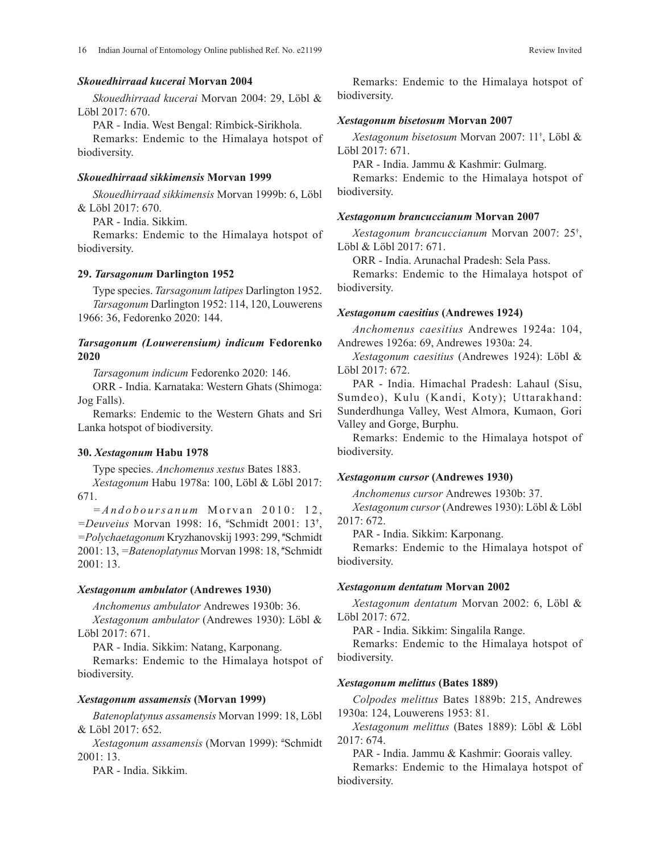## *Skouedhirraad kucerai* **Morvan 2004**

*Skouedhirraad kucerai* Morvan 2004: 29, Löbl & Löbl 2017: 670.

PAR - India. West Bengal: Rimbick-Sirikhola.

Remarks: Endemic to the Himalaya hotspot of biodiversity.

## *Skouedhirraad sikkimensis* **Morvan 1999**

*Skouedhirraad sikkimensis* Morvan 1999b: 6, Löbl & Löbl 2017: 670.

PAR - India. Sikkim.

Remarks: Endemic to the Himalaya hotspot of biodiversity.

### **29.** *Tarsagonum* **Darlington 1952**

Type species. *Tarsagonum latipes* Darlington 1952. *Tarsagonum* Darlington 1952: 114, 120, Louwerens 1966: 36, Fedorenko 2020: 144.

## *Tarsagonum (Louwerensium) indicum* **Fedorenko 2020**

*Tarsagonum indicum* Fedorenko 2020: 146.

ORR - India. Karnataka: Western Ghats (Shimoga: Jog Falls).

Remarks: Endemic to the Western Ghats and Sri Lanka hotspot of biodiversity.

### **30.** *Xestagonum* **Habu 1978**

Type species. *Anchomenus xestus* Bates 1883.

*Xestagonum* Habu 1978a: 100, Löbl & Löbl 2017: 671.

 $=$ *Andoboursanum* Morvan 2010: 12, *=Deuveius* Morvan 1998: 16, # Schmidt 2001: 13**†** , *=Polychaetagonum* Kryzhanovskij 1993: 299, # Schmidt 2001: 13, *=Batenoplatynus* Morvan 1998: 18, # Schmidt 2001: 13.

### *Xestagonum ambulator* **(Andrewes 1930)**

*Anchomenus ambulator* Andrewes 1930b: 36.

*Xestagonum ambulator* (Andrewes 1930): Löbl & Löbl 2017: 671.

PAR - India. Sikkim: Natang, Karponang.

Remarks: Endemic to the Himalaya hotspot of biodiversity.

### *Xestagonum assamensis* **(Morvan 1999)**

*Batenoplatynus assamensis* Morvan 1999: 18, Löbl & Löbl 2017: 652.

*Xestagonum assamensis* (Morvan 1999): # Schmidt 2001: 13.

PAR - India. Sikkim.

Remarks: Endemic to the Himalaya hotspot of biodiversity.

#### *Xestagonum bisetosum* **Morvan 2007**

*Xestagonum bisetosum* Morvan 2007: 11† , Löbl & Löbl 2017: 671.

PAR - India. Jammu & Kashmir: Gulmarg.

Remarks: Endemic to the Himalaya hotspot of biodiversity.

### *Xestagonum brancuccianum* **Morvan 2007**

*Xestagonum brancuccianum* Morvan 2007: 25† , Löbl & Löbl 2017: 671.

ORR - India. Arunachal Pradesh: Sela Pass.

Remarks: Endemic to the Himalaya hotspot of biodiversity.

## *Xestagonum caesitius* **(Andrewes 1924)**

*Anchomenus caesitius* Andrewes 1924a: 104, Andrewes 1926a: 69, Andrewes 1930a: 24.

*Xestagonum caesitius* (Andrewes 1924): Löbl & Löbl 2017: 672.

PAR - India. Himachal Pradesh: Lahaul (Sisu, Sumdeo), Kulu (Kandi, Koty); Uttarakhand: Sunderdhunga Valley, West Almora, Kumaon, Gori Valley and Gorge, Burphu.

Remarks: Endemic to the Himalaya hotspot of biodiversity.

#### *Xestagonum cursor* **(Andrewes 1930)**

*Anchomenus cursor* Andrewes 1930b: 37.

*Xestagonum cursor* (Andrewes 1930): Löbl & Löbl 2017: 672.

PAR - India. Sikkim: Karponang.

Remarks: Endemic to the Himalaya hotspot of biodiversity.

#### *Xestagonum dentatum* **Morvan 2002**

*Xestagonum dentatum* Morvan 2002: 6, Löbl & Löbl 2017: 672.

PAR - India. Sikkim: Singalila Range.

Remarks: Endemic to the Himalaya hotspot of biodiversity.

#### *Xestagonum melittus* **(Bates 1889)**

*Colpodes melittus* Bates 1889b: 215, Andrewes 1930a: 124, Louwerens 1953: 81.

*Xestagonum melittus* (Bates 1889): Löbl & Löbl 2017: 674.

PAR - India. Jammu & Kashmir: Goorais valley.

Remarks: Endemic to the Himalaya hotspot of biodiversity.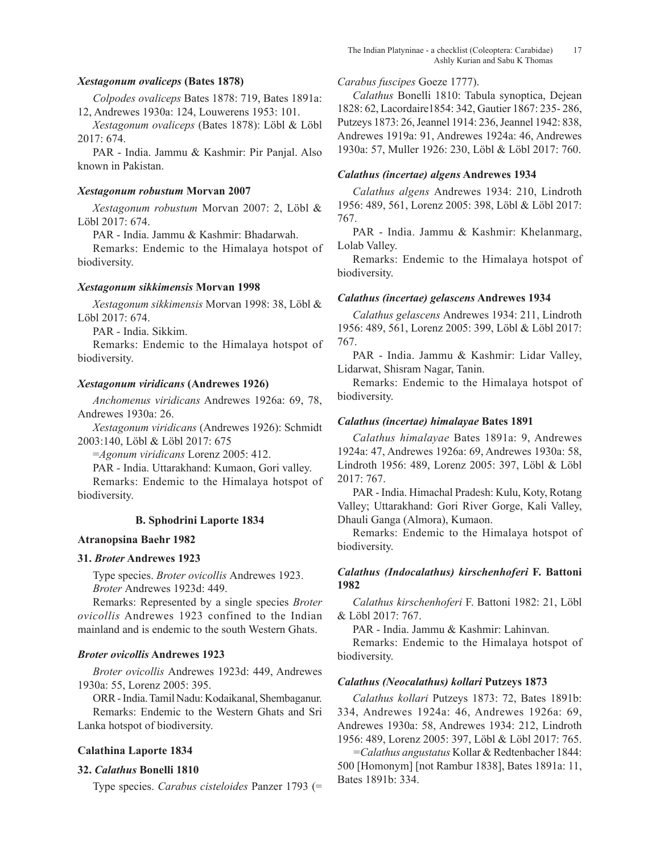## *Xestagonum ovaliceps* **(Bates 1878)**

*Colpodes ovaliceps* Bates 1878: 719, Bates 1891a: 12, Andrewes 1930a: 124, Louwerens 1953: 101.

*Xestagonum ovaliceps* (Bates 1878): Löbl & Löbl 2017: 674.

PAR - India. Jammu & Kashmir: Pir Panjal. Also known in Pakistan.

### *Xestagonum robustum* **Morvan 2007**

*Xestagonum robustum* Morvan 2007: 2, Löbl & Löbl 2017: 674.

PAR - India. Jammu & Kashmir: Bhadarwah.

Remarks: Endemic to the Himalaya hotspot of biodiversity.

### *Xestagonum sikkimensis* **Morvan 1998**

*Xestagonum sikkimensis* Morvan 1998: 38, Löbl & Löbl 2017: 674.

PAR - India. Sikkim.

Remarks: Endemic to the Himalaya hotspot of biodiversity.

### *Xestagonum viridicans* **(Andrewes 1926)**

*Anchomenus viridicans* Andrewes 1926a: 69, 78, Andrewes 1930a: 26.

*Xestagonum viridicans* (Andrewes 1926): Schmidt 2003:140, Löbl & Löbl 2017: 675

=*Agonum viridicans* Lorenz 2005: 412.

PAR - India. Uttarakhand: Kumaon, Gori valley.

Remarks: Endemic to the Himalaya hotspot of biodiversity.

## **B. Sphodrini Laporte 1834**

### **Atranopsina Baehr 1982**

### **31.** *Broter* **Andrewes 1923**

Type species. *Broter ovicollis* Andrewes 1923. *Broter* Andrewes 1923d: 449.

Remarks: Represented by a single species *Broter ovicollis* Andrewes 1923 confined to the Indian mainland and is endemic to the south Western Ghats.

### *Broter ovicollis* **Andrewes 1923**

*Broter ovicollis* Andrewes 1923d: 449, Andrewes 1930a: 55, Lorenz 2005: 395.

ORR - India. Tamil Nadu: Kodaikanal, Shembaganur. Remarks: Endemic to the Western Ghats and Sri

Lanka hotspot of biodiversity.

# **Calathina Laporte 1834**

### **32.** *Calathus* **Bonelli 1810**

Type species. *Carabus cisteloides* Panzer 1793 (=

## *Carabus fuscipes* Goeze 1777).

*Calathus* Bonelli 1810: Tabula synoptica, Dejean 1828: 62, Lacordaire1854: 342, Gautier 1867: 235- 286, Putzeys 1873: 26, Jeannel 1914: 236, Jeannel 1942: 838, Andrewes 1919a: 91, Andrewes 1924a: 46, Andrewes 1930a: 57, Muller 1926: 230, Löbl & Löbl 2017: 760.

### *Calathus (incertae) algens* **Andrewes 1934**

*Calathus algens* Andrewes 1934: 210, Lindroth 1956: 489, 561, Lorenz 2005: 398, Löbl & Löbl 2017: 767.

PAR - India. Jammu & Kashmir: Khelanmarg, Lolab Valley.

Remarks: Endemic to the Himalaya hotspot of biodiversity.

### *Calathus (incertae) gelascens* **Andrewes 1934**

*Calathus gelascens* Andrewes 1934: 211, Lindroth 1956: 489, 561, Lorenz 2005: 399, Löbl & Löbl 2017: 767.

PAR - India. Jammu & Kashmir: Lidar Valley, Lidarwat, Shisram Nagar, Tanin.

Remarks: Endemic to the Himalaya hotspot of biodiversity.

## *Calathus (incertae) himalayae* **Bates 1891**

*Calathus himalayae* Bates 1891a: 9, Andrewes 1924a: 47, Andrewes 1926a: 69, Andrewes 1930a: 58, Lindroth 1956: 489, Lorenz 2005: 397, Löbl & Löbl 2017: 767.

PAR - India. Himachal Pradesh: Kulu, Koty, Rotang Valley; Uttarakhand: Gori River Gorge, Kali Valley, Dhauli Ganga (Almora), Kumaon.

Remarks: Endemic to the Himalaya hotspot of biodiversity.

# *Calathus (Indocalathus) kirschenhoferi* **F. Battoni 1982**

*Calathus kirschenhoferi* F. Battoni 1982: 21, Löbl & Löbl 2017: 767.

PAR - India. Jammu & Kashmir: Lahinvan.

Remarks: Endemic to the Himalaya hotspot of biodiversity.

### *Calathus (Neocalathus) kollari* **Putzeys 1873**

*Calathus kollari* Putzeys 1873: 72, Bates 1891b: 334, Andrewes 1924a: 46, Andrewes 1926a: 69, Andrewes 1930a: 58, Andrewes 1934: 212, Lindroth 1956: 489, Lorenz 2005: 397, Löbl & Löbl 2017: 765.

*=Calathus angustatus* Kollar & Redtenbacher 1844: 500 [Homonym] [not Rambur 1838], Bates 1891a: 11, Bates 1891b: 334.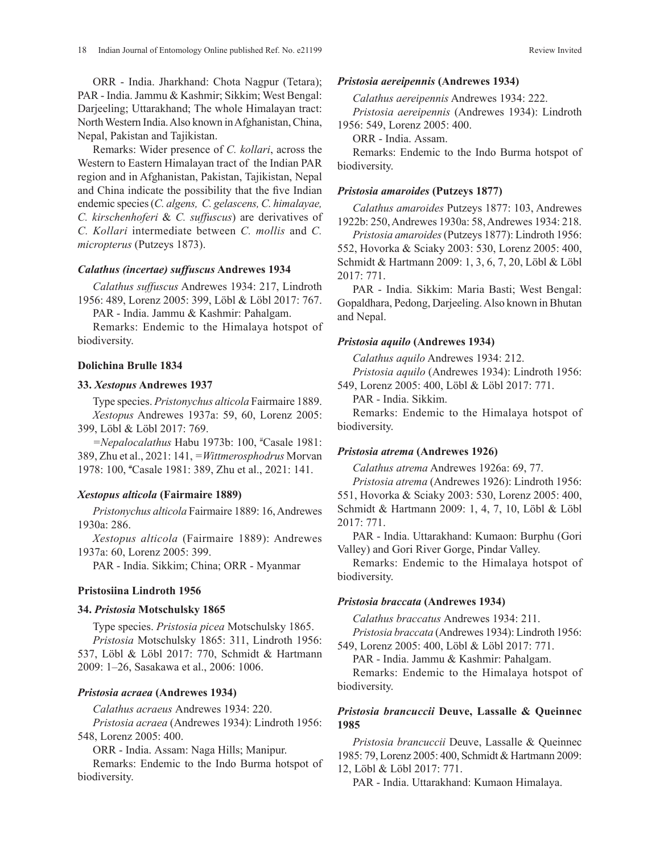ORR - India. Jharkhand: Chota Nagpur (Tetara); PAR - India. Jammu & Kashmir; Sikkim; West Bengal: Darjeeling; Uttarakhand; The whole Himalayan tract: North Western India. Also known in Afghanistan, China, Nepal, Pakistan and Tajikistan.

Remarks: Wider presence of *C. kollari*, across the Western to Eastern Himalayan tract of the Indian PAR region and in Afghanistan, Pakistan, Tajikistan, Nepal and China indicate the possibility that the five Indian endemic species (*C. algens, C. gelascens, C. himalayae, C. kirschenhoferi* & *C. suffuscus*) are derivatives of *C. Kollari* intermediate between *C. mollis* and *C. micropterus* (Putzeys 1873).

### *Calathus (incertae) suffuscus* **Andrewes 1934**

*Calathus suffuscus* Andrewes 1934: 217, Lindroth 1956: 489, Lorenz 2005: 399, Löbl & Löbl 2017: 767.

PAR - India. Jammu & Kashmir: Pahalgam.

Remarks: Endemic to the Himalaya hotspot of biodiversity.

### **Dolichina Brulle 1834**

### **33.** *Xestopus* **Andrewes 1937**

Type species. *Pristonychus alticola* Fairmaire 1889. *Xestopus* Andrewes 1937a: 59, 60, Lorenz 2005: 399, Löbl & Löbl 2017: 769.

*=Nepalocalathus* Habu 1973b: 100, # Casale 1981: 389, Zhu et al., 2021: 141, *=Wittmerosphodrus* Morvan 1978: 100, # Casale 1981: 389, Zhu et al., 2021: 141.

### *Xestopus alticola* **(Fairmaire 1889)**

*Pristonychus alticola* Fairmaire 1889: 16, Andrewes 1930a: 286.

*Xestopus alticola* (Fairmaire 1889): Andrewes 1937a: 60, Lorenz 2005: 399.

PAR - India. Sikkim; China; ORR - Myanmar

### **Pristosiina Lindroth 1956**

### **34.** *Pristosia* **Motschulsky 1865**

Type species. *Pristosia picea* Motschulsky 1865. *Pristosia* Motschulsky 1865: 311, Lindroth 1956: 537, Löbl & Löbl 2017: 770, Schmidt & Hartmann 2009: 1–26, Sasakawa et al., 2006: 1006.

## *Pristosia acraea* **(Andrewes 1934)**

*Calathus acraeus* Andrewes 1934: 220.

*Pristosia acraea* (Andrewes 1934): Lindroth 1956: 548, Lorenz 2005: 400.

ORR - India. Assam: Naga Hills; Manipur.

Remarks: Endemic to the Indo Burma hotspot of biodiversity.

### *Pristosia aereipennis* **(Andrewes 1934)**

*Calathus aereipennis* Andrewes 1934: 222.

*Pristosia aereipennis* (Andrewes 1934): Lindroth 1956: 549, Lorenz 2005: 400.

ORR - India. Assam.

Remarks: Endemic to the Indo Burma hotspot of biodiversity.

### *Pristosia amaroides* **(Putzeys 1877)**

*Calathus amaroides* Putzeys 1877: 103, Andrewes 1922b: 250, Andrewes 1930a: 58, Andrewes 1934: 218.

*Pristosia amaroides* (Putzeys 1877): Lindroth 1956: 552, Hovorka & Sciaky 2003: 530, Lorenz 2005: 400, Schmidt & Hartmann 2009: 1, 3, 6, 7, 20, Löbl & Löbl 2017: 771.

PAR - India. Sikkim: Maria Basti; West Bengal: Gopaldhara, Pedong, Darjeeling. Also known in Bhutan and Nepal.

### *Pristosia aquilo* **(Andrewes 1934)**

*Calathus aquilo* Andrewes 1934: 212.

*Pristosia aquilo* (Andrewes 1934): Lindroth 1956: 549, Lorenz 2005: 400, Löbl & Löbl 2017: 771.

PAR - India. Sikkim.

Remarks: Endemic to the Himalaya hotspot of biodiversity.

## *Pristosia atrema* **(Andrewes 1926)**

*Calathus atrema* Andrewes 1926a: 69, 77.

*Pristosia atrema* (Andrewes 1926): Lindroth 1956: 551, Hovorka & Sciaky 2003: 530, Lorenz 2005: 400, Schmidt & Hartmann 2009: 1, 4, 7, 10, Löbl & Löbl 2017: 771.

PAR - India. Uttarakhand: Kumaon: Burphu (Gori Valley) and Gori River Gorge, Pindar Valley.

Remarks: Endemic to the Himalaya hotspot of biodiversity.

## *Pristosia braccata* **(Andrewes 1934)**

*Calathus braccatus* Andrewes 1934: 211.

*Pristosia braccata* (Andrewes 1934): Lindroth 1956: 549, Lorenz 2005: 400, Löbl & Löbl 2017: 771.

PAR - India. Jammu & Kashmir: Pahalgam.

Remarks: Endemic to the Himalaya hotspot of biodiversity.

# *Pristosia brancuccii* **Deuve, Lassalle & Queinnec 1985**

*Pristosia brancuccii* Deuve, Lassalle & Queinnec 1985: 79, Lorenz 2005: 400, Schmidt & Hartmann 2009: 12, Löbl & Löbl 2017: 771.

PAR - India. Uttarakhand: Kumaon Himalaya.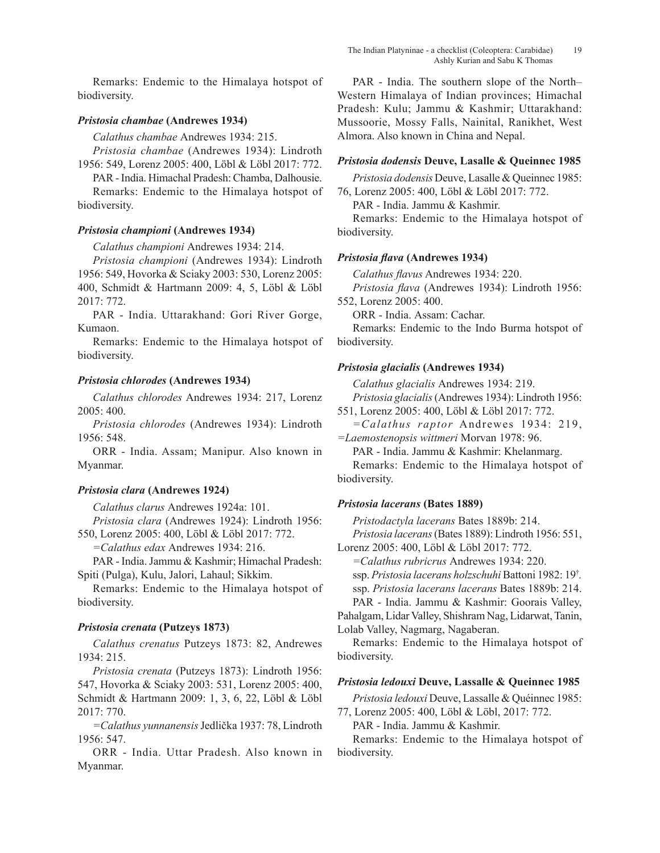Remarks: Endemic to the Himalaya hotspot of biodiversity.

# *Pristosia chambae* **(Andrewes 1934)**

*Calathus chambae* Andrewes 1934: 215.

*Pristosia chambae* (Andrewes 1934): Lindroth 1956: 549, Lorenz 2005: 400, Löbl & Löbl 2017: 772.

PAR - India. Himachal Pradesh: Chamba, Dalhousie.

Remarks: Endemic to the Himalaya hotspot of biodiversity.

# *Pristosia championi* **(Andrewes 1934)**

*Calathus championi* Andrewes 1934: 214.

*Pristosia championi* (Andrewes 1934): Lindroth 1956: 549, Hovorka & Sciaky 2003: 530, Lorenz 2005: 400, Schmidt & Hartmann 2009: 4, 5, Löbl & Löbl 2017: 772.

PAR - India. Uttarakhand: Gori River Gorge, Kumaon.

Remarks: Endemic to the Himalaya hotspot of biodiversity.

## *Pristosia chlorodes* **(Andrewes 1934)**

*Calathus chlorodes* Andrewes 1934: 217, Lorenz 2005: 400.

*Pristosia chlorodes* (Andrewes 1934): Lindroth 1956: 548.

ORR - India. Assam; Manipur. Also known in Myanmar.

## *Pristosia clara* **(Andrewes 1924)**

*Calathus clarus* Andrewes 1924a: 101.

*Pristosia clara* (Andrewes 1924): Lindroth 1956: 550, Lorenz 2005: 400, Löbl & Löbl 2017: 772.

*=Calathus edax* Andrewes 1934: 216.

PAR - India. Jammu & Kashmir; Himachal Pradesh: Spiti (Pulga), Kulu, Jalori, Lahaul; Sikkim.

Remarks: Endemic to the Himalaya hotspot of biodiversity.

## *Pristosia crenata* **(Putzeys 1873)**

*Calathus crenatus* Putzeys 1873: 82, Andrewes 1934: 215.

*Pristosia crenata* (Putzeys 1873): Lindroth 1956: 547, Hovorka & Sciaky 2003: 531, Lorenz 2005: 400, Schmidt & Hartmann 2009: 1, 3, 6, 22, Löbl & Löbl 2017: 770.

*=Calathus yunnanensis* Jedlička 1937: 78, Lindroth 1956: 547.

ORR - India. Uttar Pradesh. Also known in Myanmar.

PAR - India. The southern slope of the North– Western Himalaya of Indian provinces; Himachal Pradesh: Kulu; Jammu & Kashmir; Uttarakhand: Mussoorie, Mossy Falls, Nainital, Ranikhet, West Almora. Also known in China and Nepal.

## *Pristosia dodensis* **Deuve, Lasalle & Queinnec 1985**

*Pristosia dodensis* Deuve, Lasalle & Queinnec 1985: 76, Lorenz 2005: 400, Löbl & Löbl 2017: 772.

PAR - India. Jammu & Kashmir.

Remarks: Endemic to the Himalaya hotspot of biodiversity.

## *Pristosia flava* **(Andrewes 1934)**

*Calathus flavus* Andrewes 1934: 220.

*Pristosia flava* (Andrewes 1934): Lindroth 1956: 552, Lorenz 2005: 400.

ORR - India. Assam: Cachar.

Remarks: Endemic to the Indo Burma hotspot of biodiversity.

## *Pristosia glacialis* **(Andrewes 1934)**

*Calathus glacialis* Andrewes 1934: 219.

*Pristosia glacialis* (Andrewes 1934): Lindroth 1956: 551, Lorenz 2005: 400, Löbl & Löbl 2017: 772.

*=Calathus raptor* Andrewes 1934: 219, *=Laemostenopsis wittmeri* Morvan 1978: 96.

PAR - India. Jammu & Kashmir: Khelanmarg.

Remarks: Endemic to the Himalaya hotspot of biodiversity.

## *Pristosia lacerans* **(Bates 1889)**

*Pristodactyla lacerans* Bates 1889b: 214.

*Pristosia lacerans* (Bates 1889): Lindroth 1956: 551, Lorenz 2005: 400, Löbl & Löbl 2017: 772.

*=Calathus rubricrus* Andrewes 1934: 220.

ssp. *Pristosia lacerans holzschuhi* Battoni 1982: 19† *.* 

ssp. *Pristosia lacerans lacerans* Bates 1889b: 214.

PAR - India. Jammu & Kashmir: Goorais Valley, Pahalgam, Lidar Valley, Shishram Nag, Lidarwat, Tanin, Lolab Valley, Nagmarg, Nagaberan.

Remarks: Endemic to the Himalaya hotspot of biodiversity.

## *Pristosia ledouxi* **Deuve, Lassalle & Queinnec 1985**

*Pristosia ledouxi* Deuve, Lassalle & Quéinnec 1985: 77, Lorenz 2005: 400, Löbl & Löbl, 2017: 772.

PAR - India. Jammu & Kashmir.

Remarks: Endemic to the Himalaya hotspot of biodiversity.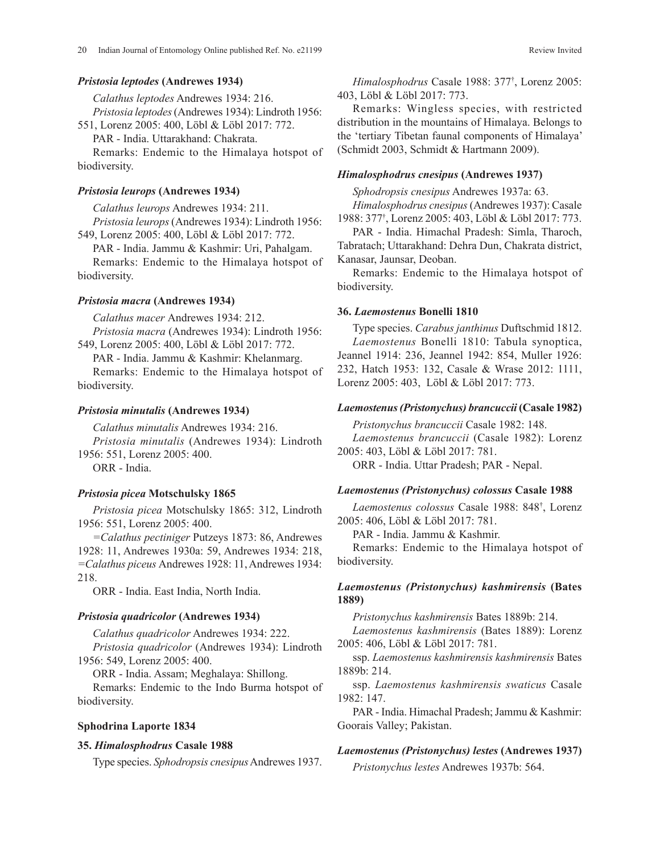### *Pristosia leptodes* **(Andrewes 1934)**

*Calathus leptodes* Andrewes 1934: 216. *Pristosia leptodes* (Andrewes 1934): Lindroth 1956:

551, Lorenz 2005: 400, Löbl & Löbl 2017: 772.

PAR - India. Uttarakhand: Chakrata.

Remarks: Endemic to the Himalaya hotspot of biodiversity.

### *Pristosia leurops* **(Andrewes 1934)**

*Calathus leurops* Andrewes 1934: 211. *Pristosia leurops* (Andrewes 1934): Lindroth 1956:

549, Lorenz 2005: 400, Löbl & Löbl 2017: 772.

PAR - India. Jammu & Kashmir: Uri, Pahalgam.

Remarks: Endemic to the Himalaya hotspot of biodiversity.

### *Pristosia macra* **(Andrewes 1934)**

*Calathus macer* Andrewes 1934: 212.

*Pristosia macra* (Andrewes 1934): Lindroth 1956: 549, Lorenz 2005: 400, Löbl & Löbl 2017: 772.

PAR - India. Jammu & Kashmir: Khelanmarg. Remarks: Endemic to the Himalaya hotspot of biodiversity.

### *Pristosia minutalis* **(Andrewes 1934)**

*Calathus minutalis* Andrewes 1934: 216. *Pristosia minutalis* (Andrewes 1934): Lindroth 1956: 551, Lorenz 2005: 400.

ORR - India.

### *Pristosia picea* **Motschulsky 1865**

*Pristosia picea* Motschulsky 1865: 312, Lindroth 1956: 551, Lorenz 2005: 400.

*=Calathus pectiniger* Putzeys 1873: 86, Andrewes 1928: 11, Andrewes 1930a: 59, Andrewes 1934: 218, *=Calathus piceus* Andrewes 1928: 11, Andrewes 1934: 218.

ORR - India. East India, North India.

### *Pristosia quadricolor* **(Andrewes 1934)**

*Calathus quadricolor* Andrewes 1934: 222. *Pristosia quadricolor* (Andrewes 1934): Lindroth 1956: 549, Lorenz 2005: 400.

ORR - India. Assam; Meghalaya: Shillong.

Remarks: Endemic to the Indo Burma hotspot of biodiversity.

## **Sphodrina Laporte 1834**

## **35.** *Himalosphodrus* **Casale 1988**

Type species. *Sphodropsis cnesipus* Andrewes 1937.

*Himalosphodrus* Casale 1988: 377† , Lorenz 2005: 403, Löbl & Löbl 2017: 773.

Remarks: Wingless species, with restricted distribution in the mountains of Himalaya. Belongs to the 'tertiary Tibetan faunal components of Himalaya' (Schmidt 2003, Schmidt & Hartmann 2009).

### *Himalosphodrus cnesipus* **(Andrewes 1937)**

*Sphodropsis cnesipus* Andrewes 1937a: 63. *Himalosphodrus cnesipus* (Andrewes 1937): Casale 1988: 377† , Lorenz 2005: 403, Löbl & Löbl 2017: 773.

PAR - India. Himachal Pradesh: Simla, Tharoch, Tabratach; Uttarakhand: Dehra Dun, Chakrata district, Kanasar, Jaunsar, Deoban.

Remarks: Endemic to the Himalaya hotspot of biodiversity.

#### **36.** *Laemostenus* **Bonelli 1810**

Type species. *Carabus janthinus* Duftschmid 1812. *Laemostenus* Bonelli 1810: Tabula synoptica, Jeannel 1914: 236, Jeannel 1942: 854, Muller 1926: 232, Hatch 1953: 132, Casale & Wrase 2012: 1111, Lorenz 2005: 403, Löbl & Löbl 2017: 773.

## *Laemostenus (Pristonychus) brancuccii* **(Casale 1982)**

*Pristonychus brancuccii* Casale 1982: 148. *Laemostenus brancuccii* (Casale 1982): Lorenz 2005: 403, Löbl & Löbl 2017: 781.

ORR - India. Uttar Pradesh; PAR - Nepal.

#### *Laemostenus (Pristonychus) colossus* **Casale 1988**

*Laemostenus colossus* Casale 1988: 848† , Lorenz 2005: 406, Löbl & Löbl 2017: 781.

PAR - India. Jammu & Kashmir.

Remarks: Endemic to the Himalaya hotspot of biodiversity.

# *Laemostenus (Pristonychus) kashmirensis* **(Bates 1889)**

*Pristonychus kashmirensis* Bates 1889b: 214.

*Laemostenus kashmirensis* (Bates 1889): Lorenz 2005: 406, Löbl & Löbl 2017: 781.

ssp. *Laemostenus kashmirensis kashmirensis* Bates 1889b: 214.

ssp. *Laemostenus kashmirensis swaticus* Casale 1982: 147.

PAR - India. Himachal Pradesh; Jammu & Kashmir: Goorais Valley; Pakistan.

### *Laemostenus (Pristonychus) lestes* **(Andrewes 1937)**

*Pristonychus lestes* Andrewes 1937b: 564.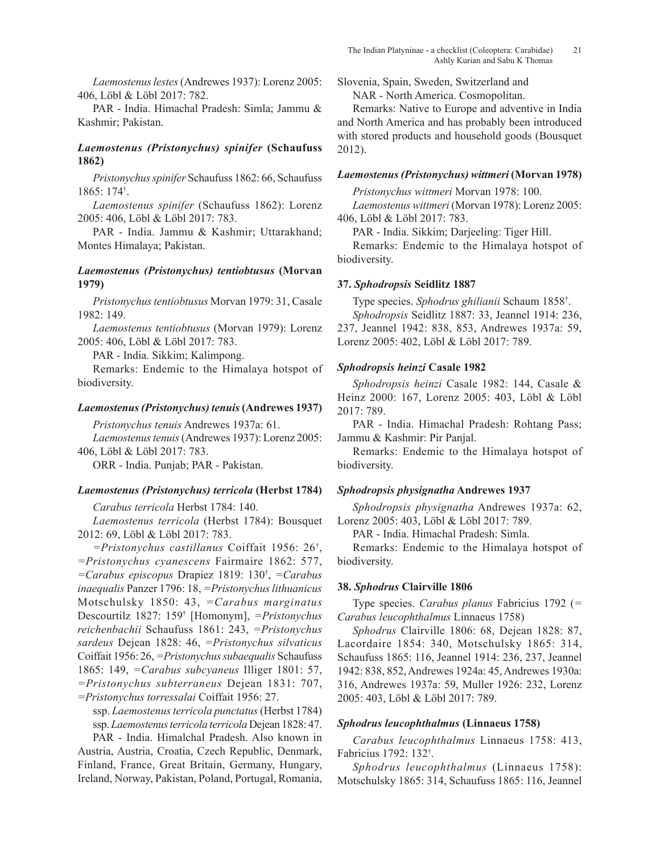*Laemostenus lestes* (Andrewes 1937): Lorenz 2005: 406, Löbl & Löbl 2017: 782.

PAR - India. Himachal Pradesh: Simla; Jammu & Kashmir; Pakistan.

# *Laemostenus (Pristonychus) spinifer* **(Schaufuss 1862)**

*Pristonychus spinifer* Schaufuss 1862: 66, Schaufuss 1865: 174† .

*Laemostenus spinifer* (Schaufuss 1862): Lorenz 2005: 406, Löbl & Löbl 2017: 783.

PAR - India. Jammu & Kashmir; Uttarakhand; Montes Himalaya; Pakistan.

# *Laemostenus (Pristonychus) tentiobtusus* **(Morvan 1979)**

*Pristonychus tentiobtusus* Morvan 1979: 31, Casale 1982: 149.

*Laemostenus tentiobtusus* (Morvan 1979): Lorenz 2005: 406, Löbl & Löbl 2017: 783.

PAR - India. Sikkim; Kalimpong.

Remarks: Endemic to the Himalaya hotspot of biodiversity.

# *Laemostenus (Pristonychus) tenuis* **(Andrewes 1937)**

*Pristonychus tenuis* Andrewes 1937a: 61.

*Laemostenus tenuis* (Andrewes 1937): Lorenz 2005: 406, Löbl & Löbl 2017: 783.

ORR - India. Punjab; PAR - Pakistan.

## *Laemostenus (Pristonychus) terricola* **(Herbst 1784)**

*Carabus terricola* Herbst 1784: 140.

*Laemostenus terricola* (Herbst 1784): Bousquet 2012: 69, Löbl & Löbl 2017: 783.

*=Pristonychus castillanus* Coiffait 1956: 26† , *=Pristonychus cyanescens* Fairmaire 1862: 577, *=Carabus episcopus* Drapiez 1819: 130† , *=Carabus inaequalis* Panzer 1796: 18, *=Pristonychus lithuanicus* Motschulsky 1850: 43, *=Carabus marginatus* Descourtilz 1827: 159† [Homonym], *=Pristonychus reichenbachii* Schaufuss 1861: 243, *=Pristonychus sardeus* Dejean 1828: 46, *=Pristonychus silvaticus* Coiffait 1956: 26, *=Pristonychus subaequalis* Schaufuss 1865: 149, *=Carabus subcyaneus* Illiger 1801: 57, *=Pristonychus subterraneus* Dejean 1831: 707, *=Pristonychus torressalai* Coiffait 1956: 27.

ssp. *Laemostenus terricola punctatus* (Herbst 1784) ssp. *Laemostenus terricola terricola* Dejean 1828: 47.

PAR - India. Himalchal Pradesh. Also known in Austria, Austria, Croatia, Czech Republic, Denmark, Finland, France, Great Britain, Germany, Hungary, Ireland, Norway, Pakistan, Poland, Portugal, Romania,

Slovenia, Spain, Sweden, Switzerland and

NAR - North America. Cosmopolitan.

Remarks: Native to Europe and adventive in India and North America and has probably been introduced with stored products and household goods (Bousquet 2012).

## *Laemostenus (Pristonychus) wittmeri* **(Morvan 1978)**

*Pristonychus wittmeri* Morvan 1978: 100. *Laemostenus wittmeri* (Morvan 1978): Lorenz 2005: 406, Löbl & Löbl 2017: 783.

PAR - India. Sikkim; Darjeeling: Tiger Hill.

Remarks: Endemic to the Himalaya hotspot of biodiversity.

## **37.** *Sphodropsis* **Seidlitz 1887**

Type species. *Sphodrus ghilianii* Schaum 1858† . *Sphodropsis* Seidlitz 1887: 33, Jeannel 1914: 236,

237, Jeannel 1942: 838, 853, Andrewes 1937a: 59, Lorenz 2005: 402, Löbl & Löbl 2017: 789.

## *Sphodropsis heinzi* **Casale 1982**

*Sphodropsis heinzi* Casale 1982: 144, Casale & Heinz 2000: 167, Lorenz 2005: 403, Löbl & Löbl 2017: 789.

PAR - India. Himachal Pradesh: Rohtang Pass; Jammu & Kashmir: Pir Panjal.

Remarks: Endemic to the Himalaya hotspot of biodiversity.

# *Sphodropsis physignatha* **Andrewes 1937**

*Sphodropsis physignatha* Andrewes 1937a: 62, Lorenz 2005: 403, Löbl & Löbl 2017: 789.

PAR - India. Himachal Pradesh: Simla.

Remarks: Endemic to the Himalaya hotspot of biodiversity.

# **38.** *Sphodrus* **Clairville 1806**

Type species. *Carabus planus* Fabricius 1792 (*= Carabus leucophthalmus* Linnaeus 1758)

*Sphodrus* Clairville 1806: 68, Dejean 1828: 87, Lacordaire 1854: 340, Motschulsky 1865: 314, Schaufuss 1865: 116, Jeannel 1914: 236, 237, Jeannel 1942: 838, 852, Andrewes 1924a: 45, Andrewes 1930a: 316, Andrewes 1937a: 59, Muller 1926: 232, Lorenz 2005: 403, Löbl & Löbl 2017: 789.

# *Sphodrus leucophthalmus* **(Linnaeus 1758)**

*Carabus leucophthalmus* Linnaeus 1758: 413, Fabricius 1792: 132† .

*Sphodrus leucophthalmus* (Linnaeus 1758): Motschulsky 1865: 314, Schaufuss 1865: 116, Jeannel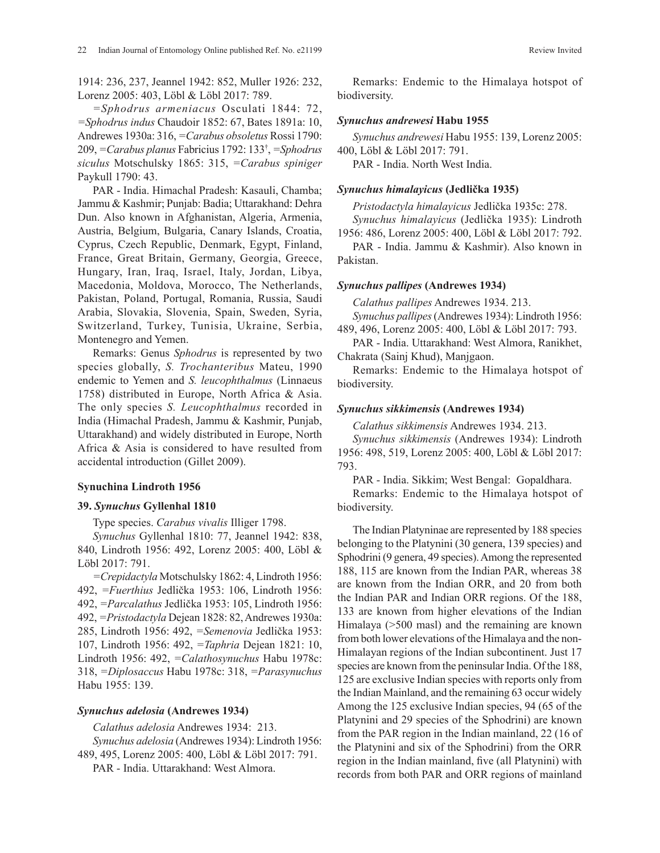1914: 236, 237, Jeannel 1942: 852, Muller 1926: 232, Lorenz 2005: 403, Löbl & Löbl 2017: 789.

*=Sphodrus armeniacus* Osculati 1844: 72, *=Sphodrus indus* Chaudoir 1852: 67, Bates 1891a: 10, Andrewes 1930a: 316, *=Carabus obsoletus* Rossi 1790: 209, *=Carabus planus* Fabricius 1792: 133† , *=Sphodrus siculus* Motschulsky 1865: 315, *=Carabus spiniger*  Paykull 1790: 43.

PAR - India. Himachal Pradesh: Kasauli, Chamba; Jammu & Kashmir; Punjab: Badia; Uttarakhand: Dehra Dun. Also known in Afghanistan, Algeria, Armenia, Austria, Belgium, Bulgaria, Canary Islands, Croatia, Cyprus, Czech Republic, Denmark, Egypt, Finland, France, Great Britain, Germany, Georgia, Greece, Hungary, Iran, Iraq, Israel, Italy, Jordan, Libya, Macedonia, Moldova, Morocco, The Netherlands, Pakistan, Poland, Portugal, Romania, Russia, Saudi Arabia, Slovakia, Slovenia, Spain, Sweden, Syria, Switzerland, Turkey, Tunisia, Ukraine, Serbia, Montenegro and Yemen.

Remarks: Genus *Sphodrus* is represented by two species globally, *S. Trochanteribus* Mateu, 1990 endemic to Yemen and *S. leucophthalmus* (Linnaeus 1758) distributed in Europe, North Africa & Asia. The only species *S. Leucophthalmus* recorded in India (Himachal Pradesh, Jammu & Kashmir, Punjab, Uttarakhand) and widely distributed in Europe, North Africa & Asia is considered to have resulted from accidental introduction (Gillet 2009).

### **Synuchina Lindroth 1956**

#### **39.** *Synuchus* **Gyllenhal 1810**

Type species. *Carabus vivalis* Illiger 1798.

*Synuchus* Gyllenhal 1810: 77, Jeannel 1942: 838, 840, Lindroth 1956: 492, Lorenz 2005: 400, Löbl & Löbl 2017: 791.

*=Crepidactyla* Motschulsky 1862: 4, Lindroth 1956: 492, *=Fuerthius* Jedlička 1953: 106, Lindroth 1956: 492, *=Parcalathus* Jedlička 1953: 105, Lindroth 1956: 492, *=Pristodactyla* Dejean 1828: 82, Andrewes 1930a: 285, Lindroth 1956: 492, *=Semenovia* Jedlička 1953: 107, Lindroth 1956: 492, *=Taphria* Dejean 1821: 10, Lindroth 1956: 492, *=Calathosynuchus* Habu 1978c: 318, *=Diplosaccus* Habu 1978c: 318, *=Parasynuchus* Habu 1955: 139.

### *Synuchus adelosia* **(Andrewes 1934)**

*Calathus adelosia* Andrewes 1934: 213.

*Synuchus adelosia* (Andrewes 1934): Lindroth 1956: 489, 495, Lorenz 2005: 400, Löbl & Löbl 2017: 791.

PAR - India. Uttarakhand: West Almora.

Remarks: Endemic to the Himalaya hotspot of biodiversity.

#### *Synuchus andrewesi* **Habu 1955**

*Synuchus andrewesi* Habu 1955: 139, Lorenz 2005: 400, Löbl & Löbl 2017: 791.

PAR - India. North West India.

### *Synuchus himalayicus* **(Jedlička 1935)**

*Pristodactyla himalayicus* Jedlička 1935c: 278.

*Synuchus himalayicus* (Jedlička 1935): Lindroth 1956: 486, Lorenz 2005: 400, Löbl & Löbl 2017: 792.

PAR - India. Jammu & Kashmir). Also known in Pakistan.

### *Synuchus pallipes* **(Andrewes 1934)**

*Calathus pallipes* Andrewes 1934. 213.

*Synuchus pallipes* (Andrewes 1934): Lindroth 1956: 489, 496, Lorenz 2005: 400, Löbl & Löbl 2017: 793.

PAR - India. Uttarakhand: West Almora, Ranikhet, Chakrata (Sainj Khud), Manjgaon.

Remarks: Endemic to the Himalaya hotspot of biodiversity.

### *Synuchus sikkimensis* **(Andrewes 1934)**

*Calathus sikkimensis* Andrewes 1934. 213.

*Synuchus sikkimensis* (Andrewes 1934): Lindroth 1956: 498, 519, Lorenz 2005: 400, Löbl & Löbl 2017: 793.

PAR - India. Sikkim; West Bengal: Gopaldhara. Remarks: Endemic to the Himalaya hotspot of biodiversity.

The Indian Platyninae are represented by 188 species belonging to the Platynini (30 genera, 139 species) and Sphodrini (9 genera, 49 species). Among the represented 188, 115 are known from the Indian PAR, whereas 38 are known from the Indian ORR, and 20 from both the Indian PAR and Indian ORR regions. Of the 188, 133 are known from higher elevations of the Indian Himalaya (>500 masl) and the remaining are known from both lower elevations of the Himalaya and the non-Himalayan regions of the Indian subcontinent. Just 17 species are known from the peninsular India. Of the 188, 125 are exclusive Indian species with reports only from the Indian Mainland, and the remaining 63 occur widely Among the 125 exclusive Indian species, 94 (65 of the Platynini and 29 species of the Sphodrini) are known from the PAR region in the Indian mainland, 22 (16 of the Platynini and six of the Sphodrini) from the ORR region in the Indian mainland, five (all Platynini) with records from both PAR and ORR regions of mainland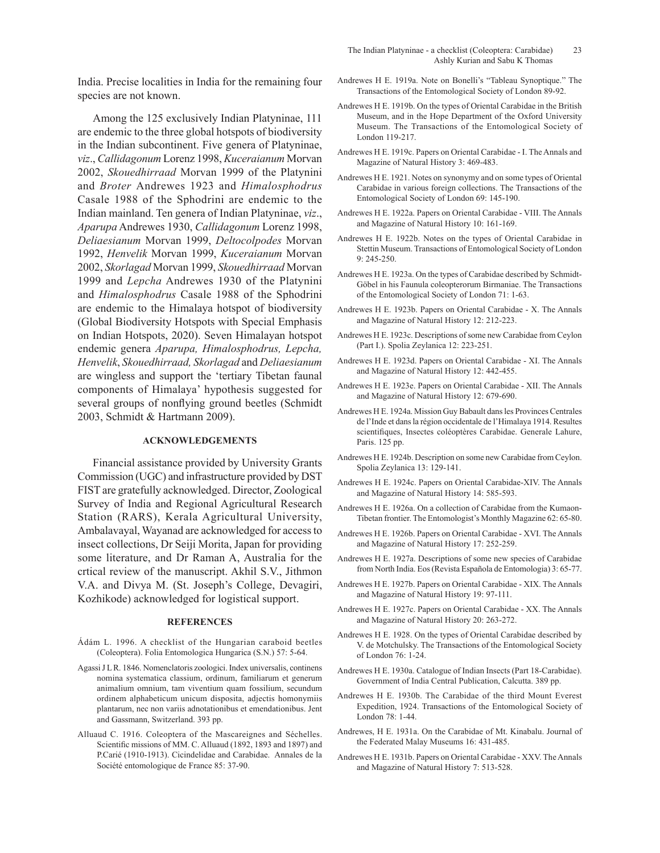India. Precise localities in India for the remaining four species are not known.

Among the 125 exclusively Indian Platyninae, 111 are endemic to the three global hotspots of biodiversity in the Indian subcontinent. Five genera of Platyninae, *viz*., *Callidagonum* Lorenz 1998, *Kuceraianum* Morvan 2002, *Skouedhirraad* Morvan 1999 of the Platynini and *Broter* Andrewes 1923 and *Himalosphodrus*  Casale 1988 of the Sphodrini are endemic to the Indian mainland. Ten genera of Indian Platyninae, *viz*., *Aparupa* Andrewes 1930, *Callidagonum* Lorenz 1998, *Deliaesianum* Morvan 1999, *Deltocolpodes* Morvan 1992, *Henvelik* Morvan 1999, *Kuceraianum* Morvan 2002, *Skorlagad* Morvan 1999, *Skouedhirraad* Morvan 1999 and *Lepcha* Andrewes 1930 of the Platynini and *Himalosphodrus* Casale 1988 of the Sphodrini are endemic to the Himalaya hotspot of biodiversity (Global Biodiversity Hotspots with Special Emphasis on Indian Hotspots, 2020). Seven Himalayan hotspot endemic genera *Aparupa, Himalosphodrus, Lepcha, Henvelik*, *Skouedhirraad, Skorlagad* and *Deliaesianum*  are wingless and support the 'tertiary Tibetan faunal components of Himalaya' hypothesis suggested for several groups of nonflying ground beetles (Schmidt 2003, Schmidt & Hartmann 2009).

#### **ACKNOWLEDGEMENTS**

Financial assistance provided by University Grants Commission (UGC) and infrastructure provided by DST FIST are gratefully acknowledged. Director, Zoological Survey of India and Regional Agricultural Research Station (RARS), Kerala Agricultural University, Ambalavayal, Wayanad are acknowledged for access to insect collections, Dr Seiji Morita, Japan for providing some literature, and Dr Raman A, Australia for the crtical review of the manuscript. Akhil S.V., Jithmon V.A. and Divya M. (St. Joseph's College, Devagiri, Kozhikode) acknowledged for logistical support.

### **REFERENCES**

- Ádám L. 1996. A checklist of the Hungarian caraboid beetles (Coleoptera). Folia Entomologica Hungarica (S.N.) 57: 5-64.
- Agassi J L R. 1846. Nomenclatoris zoologici. Index universalis, continens nomina systematica classium, ordinum, familiarum et generum animalium omnium, tam viventium quam fossilium, secundum ordinem alphabeticum unicum disposita, adjectis homonymiis plantarum, nec non variis adnotationibus et emendationibus. Jent and Gassmann, Switzerland. 393 pp.
- Alluaud C. 1916. Coleoptera of the Mascareignes and Séchelles. Scientific missions of MM. C. Alluaud (1892, 1893 and 1897) and P.Carié (1910-1913). Cicindelidae and Carabidae. Annales de la Société entomologique de France 85: 37-90.
- Andrewes H E. 1919a. Note on Bonelli's "Tableau Synoptique." The Transactions of the Entomological Society of London 89-92.
- Andrewes H E. 1919b. On the types of Oriental Carabidae in the British Museum, and in the Hope Department of the Oxford University Museum. The Transactions of the Entomological Society of London 119-217.
- Andrewes H E. 1919c. Papers on Oriental Carabidae I. The Annals and Magazine of Natural History 3: 469-483.
- Andrewes H E. 1921. Notes on synonymy and on some types of Oriental Carabidae in various foreign collections. The Transactions of the Entomological Society of London 69: 145-190.
- Andrewes H E. 1922a. Papers on Oriental Carabidae VIII. The Annals and Magazine of Natural History 10: 161-169.
- Andrewes H E. 1922b. Notes on the types of Oriental Carabidae in Stettin Museum. Transactions of Entomological Society of London 9: 245-250.
- Andrewes H E. 1923a. On the types of Carabidae described by Schmidt-Göbel in his Faunula coleopterorum Birmaniae. The Transactions of the Entomological Society of London 71: 1-63.
- Andrewes H E. 1923b. Papers on Oriental Carabidae X. The Annals and Magazine of Natural History 12: 212-223.
- Andrewes H E. 1923c. Descriptions of some new Carabidae from Ceylon (Part I.). Spolia Zeylanica 12: 223-251.
- Andrewes H E. 1923d. Papers on Oriental Carabidae XI. The Annals and Magazine of Natural History 12: 442-455.
- Andrewes H E. 1923e. Papers on Oriental Carabidae XII. The Annals and Magazine of Natural History 12: 679-690.
- Andrewes H E. 1924a. Mission Guy Babault dans les Provinces Centrales de l'Inde et dans la région occidentale de l'Himalaya 1914. Resultes scientifiques, Insectes coléoptères Carabidae. Generale Lahure, Paris. 125 pp.
- Andrewes H E. 1924b. Description on some new Carabidae from Ceylon. Spolia Zeylanica 13: 129-141.
- Andrewes H E. 1924c. Papers on Oriental Carabidae-XIV. The Annals and Magazine of Natural History 14: 585-593.
- Andrewes H E. 1926a. On a collection of Carabidae from the Kumaon-Tibetan frontier. The Entomologist's Monthly Magazine 62: 65-80.
- Andrewes H E. 1926b. Papers on Oriental Carabidae XVI. The Annals and Magazine of Natural History 17: 252-259.
- Andrewes H E. 1927a. Descriptions of some new species of Carabidae from North India. Eos (Revista Española de Entomologia) 3: 65-77.
- Andrewes H E. 1927b. Papers on Oriental Carabidae XIX. The Annals and Magazine of Natural History 19: 97-111.
- Andrewes H E. 1927c. Papers on Oriental Carabidae XX. The Annals and Magazine of Natural History 20: 263-272.
- Andrewes H E. 1928. On the types of Oriental Carabidae described by V. de Motchulsky. The Transactions of the Entomological Society of London 76: 1-24.
- Andrewes H E. 1930a. Catalogue of Indian Insects (Part 18-Carabidae). Government of India Central Publication, Calcutta. 389 pp.
- Andrewes H E. 1930b. The Carabidae of the third Mount Everest Expedition, 1924. Transactions of the Entomological Society of London 78: 1-44.
- Andrewes, H E. 1931a. On the Carabidae of Mt. Kinabalu. Journal of the Federated Malay Museums 16: 431-485.
- Andrewes H E. 1931b. Papers on Oriental Carabidae XXV. The Annals and Magazine of Natural History 7: 513-528.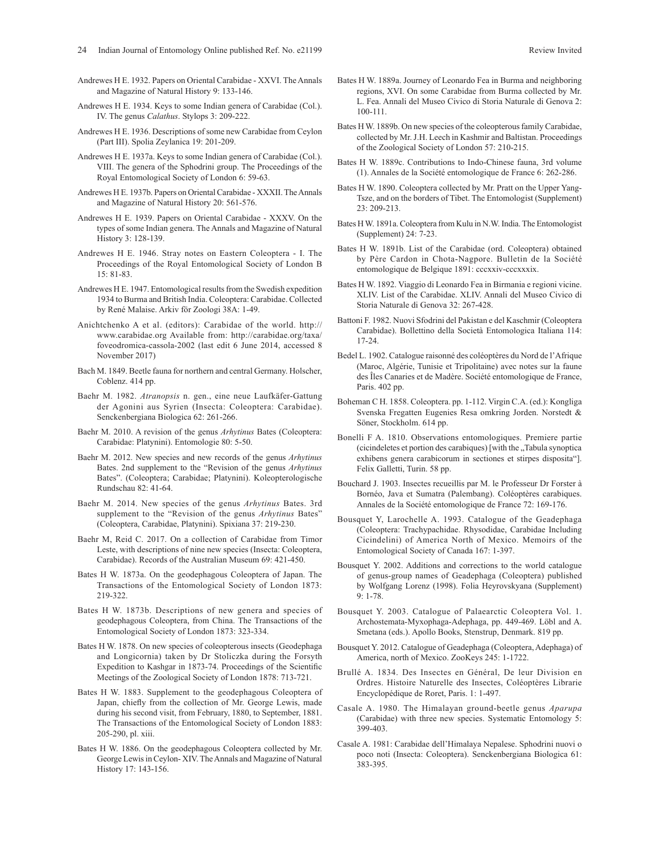- Andrewes H E. 1932. Papers on Oriental Carabidae XXVI. The Annals and Magazine of Natural History 9: 133-146.
- Andrewes H E. 1934. Keys to some Indian genera of Carabidae (Col.). IV. The genus *Calathus*. Stylops 3: 209-222.
- Andrewes H E. 1936. Descriptions of some new Carabidae from Ceylon (Part III). Spolia Zeylanica 19: 201-209.
- Andrewes H E. 1937a. Keys to some Indian genera of Carabidae (Col.). VIII. The genera of the Sphodrini group. The Proceedings of the Royal Entomological Society of London 6: 59-63.
- Andrewes H E. 1937b. Papers on Oriental Carabidae XXXII. The Annals and Magazine of Natural History 20: 561-576.
- Andrewes H E. 1939. Papers on Oriental Carabidae XXXV. On the types of some Indian genera. The Annals and Magazine of Natural History 3: 128-139.
- Andrewes H E. 1946. Stray notes on Eastern Coleoptera I. The Proceedings of the Royal Entomological Society of London B 15: 81-83.
- Andrewes H E. 1947. Entomological results from the Swedish expedition 1934 to Burma and British India. Coleoptera: Carabidae. Collected by René Malaise. Arkiv för Zoologi 38A: 1-49.
- Anichtchenko A et al. (editors): Carabidae of the world. http:// www.carabidae.org Available from: http://carabidae.org/taxa/ foveodromica-cassola-2002 (last edit 6 June 2014, accessed 8 November 2017)
- Bach M. 1849. Beetle fauna for northern and central Germany. Holscher, Coblenz. 414 pp.
- Baehr M. 1982. *Atranopsis* n. gen., eine neue Laufkäfer-Gattung der Agonini aus Syrien (Insecta: Coleoptera: Carabidae). Senckenbergiana Biologica 62: 261-266.
- Baehr M. 2010. A revision of the genus *Arhytinus* Bates (Coleoptera: Carabidae: Platynini). Entomologie 80: 5-50.
- Baehr M. 2012. New species and new records of the genus *Arhytinus* Bates. 2nd supplement to the "Revision of the genus *Arhytinus* Bates". (Coleoptera; Carabidae; Platynini). Koleopterologische Rundschau 82: 41-64.
- Baehr M. 2014. New species of the genus *Arhytinus* Bates. 3rd supplement to the "Revision of the genus *Arhytinus* Bates" (Coleoptera, Carabidae, Platynini). Spixiana 37: 219-230.
- Baehr M, Reid C. 2017. On a collection of Carabidae from Timor Leste, with descriptions of nine new species (Insecta: Coleoptera, Carabidae). Records of the Australian Museum 69: 421-450.
- Bates H W. 1873a. On the geodephagous Coleoptera of Japan. The Transactions of the Entomological Society of London 1873: 219-322.
- Bates H W. 1873b. Descriptions of new genera and species of geodephagous Coleoptera, from China. The Transactions of the Entomological Society of London 1873: 323-334.
- Bates H W. 1878. On new species of coleopterous insects (Geodephaga and Longicornia) taken by Dr Stoliczka during the Forsyth Expedition to Kashgar in 1873-74. Proceedings of the Scientific Meetings of the Zoological Society of London 1878: 713-721.
- Bates H W. 1883. Supplement to the geodephagous Coleoptera of Japan, chiefly from the collection of Mr. George Lewis, made during his second visit, from February, 1880, to September, 1881. The Transactions of the Entomological Society of London 1883: 205-290, pl. xiii.
- Bates H W. 1886. On the geodephagous Coleoptera collected by Mr. George Lewis in Ceylon- XIV. The Annals and Magazine of Natural History 17: 143-156.
- Bates H W. 1889a. Journey of Leonardo Fea in Burma and neighboring regions, XVI. On some Carabidae from Burma collected by Mr. L. Fea. Annali del Museo Civico di Storia Naturale di Genova 2: 100-111.
- Bates H W. 1889b. On new species of the coleopterous family Carabidae, collected by Mr. J.H. Leech in Kashmir and Baltistan. Proceedings of the Zoological Society of London 57: 210-215.
- Bates H W. 1889c. Contributions to Indo-Chinese fauna, 3rd volume (1). Annales de la Société entomologique de France 6: 262-286.
- Bates H W. 1890. Coleoptera collected by Mr. Pratt on the Upper Yang-Tsze, and on the borders of Tibet. The Entomologist (Supplement) 23: 209-213.
- Bates H W. 1891a. Coleoptera from Kulu in N.W. India. The Entomologist (Supplement) 24: 7-23.
- Bates H W. 1891b. List of the Carabidae (ord. Coleoptera) obtained by Père Cardon in Chota-Nagpore. Bulletin de la Société entomologique de Belgique 1891: cccxxiv-cccxxxix.
- Bates H W. 1892. Viaggio di Leonardo Fea in Birmania e regioni vicine. XLIV. List of the Carabidae. XLIV. Annali del Museo Civico di Storia Naturale di Genova 32: 267-428.
- Battoni F. 1982. Nuovi Sfodrini del Pakistan e del Kaschmir (Coleoptera Carabidae). Bollettino della Società Entomologica Italiana 114: 17-24.
- Bedel L. 1902. Catalogue raisonné des coléoptères du Nord de l'Afrique (Maroc, Algérie, Tunisie et Tripolitaine) avec notes sur la faune des Îles Canaries et de Madère. Société entomologique de France, Paris. 402 pp.
- Boheman C H. 1858. Coleoptera. pp. 1-112. Virgin C.A. (ed.): Kongliga Svenska Fregatten Eugenies Resa omkring Jorden. Norstedt & Söner, Stockholm. 614 pp.
- Bonelli F A. 1810. Observations entomologiques. Premiere partie (cicindeletes et portion des carabiques) [with the "Tabula synoptica exhibens genera carabicorum in sectiones et stirpes disposita"]. Felix Galletti, Turin. 58 pp.
- Bouchard J. 1903. Insectes recueillis par M. le Professeur Dr Forster à Bornéo, Java et Sumatra (Palembang). Coléoptères carabiques. Annales de la Société entomologique de France 72: 169-176.
- Bousquet Y, Larochelle A. 1993. Catalogue of the Geadephaga (Coleoptera: Trachypachidae. Rhysodidae, Carabidae Including Cicindelini) of America North of Mexico. Memoirs of the Entomological Society of Canada 167: 1-397.
- Bousquet Y. 2002. Additions and corrections to the world catalogue of genus-group names of Geadephaga (Coleoptera) published by Wolfgang Lorenz (1998). Folia Heyrovskyana (Supplement) 9: 1-78.
- Bousquet Y. 2003. Catalogue of Palaearctic Coleoptera Vol. 1. Archostemata-Myxophaga-Adephaga, pp. 449-469. Löbl and A. Smetana (eds.). Apollo Books, Stenstrup, Denmark. 819 pp.
- Bousquet Y. 2012. Catalogue of Geadephaga (Coleoptera, Adephaga) of America, north of Mexico. ZooKeys 245: 1-1722.
- Brullé A. 1834. Des Insectes en Général, De leur Division en Ordres. Histoire Naturelle des Insectes, Coléoptères Librarie Encyclopédique de Roret, Paris. 1: 1-497.
- Casale A. 1980. The Himalayan ground-beetle genus *Aparupa* (Carabidae) with three new species. Systematic Entomology 5: 399-403.
- Casale A. 1981: Carabidae dell'Himalaya Nepalese. Sphodrini nuovi o poco noti (Insecta: Coleoptera). Senckenbergiana Biologica 61: 383-395.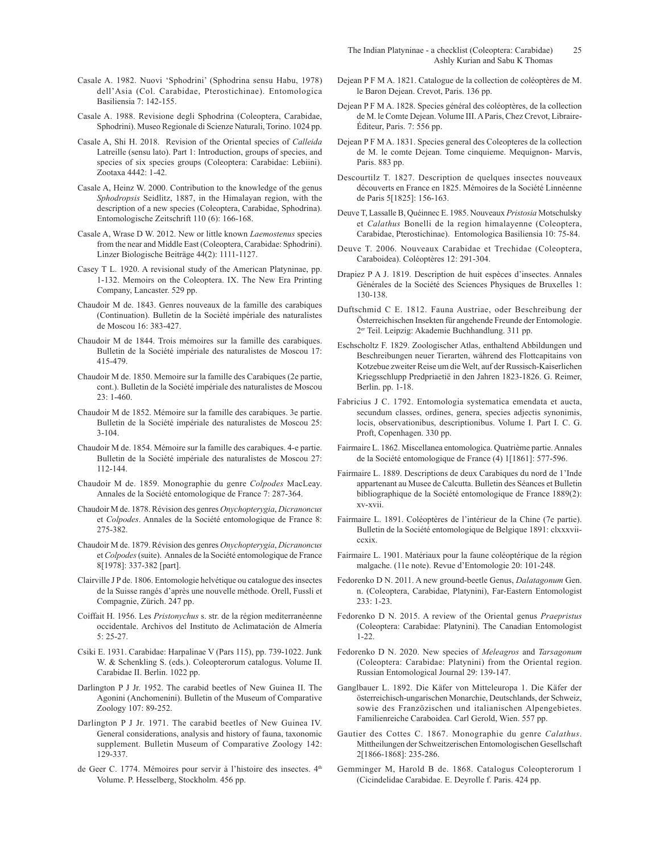- Casale A. 1982. Nuovi 'Sphodrini' (Sphodrina sensu Habu, 1978) dell'Asia (Col. Carabidae, Pterostichinae). Entomologica Basiliensia 7: 142-155.
- Casale A. 1988. Revisione degli Sphodrina (Coleoptera, Carabidae, Sphodrini). Museo Regionale di Scienze Naturali, Torino. 1024 pp.
- Casale A, Shi H. 2018. Revision of the Oriental species of *Calleida* Latreille (sensu lato). Part 1: Introduction, groups of species, and species of six species groups (Coleoptera: Carabidae: Lebiini). Zootaxa 4442: 1-42.
- Casale A, Heinz W. 2000. Contribution to the knowledge of the genus *Sphodropsis* Seidlitz, 1887, in the Himalayan region, with the description of a new species (Coleoptera, Carabidae, Sphodrina). Entomologische Zeitschrift 110 (6): 166-168.
- Casale A, Wrase D W. 2012. New or little known *Laemostenus* species from the near and Middle East (Coleoptera, Carabidae: Sphodrini). Linzer Biologische Beiträge 44(2): 1111-1127.
- Casey T L. 1920. A revisional study of the American Platyninae, pp. 1-132. Memoirs on the Coleoptera. IX. The New Era Printing Company, Lancaster. 529 pp.
- Chaudoir M de. 1843. Genres nouveaux de la famille des carabiques (Continuation). Bulletin de la Société impériale des naturalistes de Moscou 16: 383-427.
- Chaudoir M de 1844. Trois mémoires sur la famille des carabiques. Bulletin de la Société impériale des naturalistes de Moscou 17: 415-479.
- Chaudoir M de. 1850. Memoire sur la famille des Carabiques (2e partie, cont.). Bulletin de la Société impériale des naturalistes de Moscou 23: 1-460.
- Chaudoir M de 1852. Mémoire sur la famille des carabiques. 3e partie. Bulletin de la Société impériale des naturalistes de Moscou 25: 3-104.
- Chaudoir M de. 1854. Mémoire sur la famille des carabiques. 4-e partie. Bulletin de la Société impériale des naturalistes de Moscou 27: 112-144.
- Chaudoir M de. 1859. Monographie du genre *Colpodes* MacLeay. Annales de la Société entomologique de France 7: 287-364.
- Chaudoir M de. 1878. Révision des genres *Onychopterygia*, *Dicranoncus* et *Colpodes*. Annales de la Société entomologique de France 8: 275-382.
- Chaudoir M de. 1879. Révision des genres *Onychopterygia*, *Dicranoncus* et *Colpodes* (suite). Annales de la Société entomologique de France 8[1978]: 337-382 [part].
- Clairville J P de. 1806. Entomologie helvétique ou catalogue des insectes de la Suisse rangés d'après une nouvelle méthode. Orell, Fussli et Compagnie, Zürich. 247 pp.
- Coiffait H. 1956. Les *Pristonychus* s. str. de la région mediterranéenne occidentale. Archivos del Instituto de Aclimatación de Almería 5: 25-27.
- Csiki E. 1931. Carabidae: Harpalinae V (Pars 115), pp. 739-1022. Junk W. & Schenkling S. (eds.). Coleopterorum catalogus. Volume II. Carabidae II. Berlin. 1022 pp.
- Darlington P J Jr. 1952. The carabid beetles of New Guinea II. The Agonini (Anchomenini). Bulletin of the Museum of Comparative Zoology 107: 89-252.
- Darlington P J Jr. 1971. The carabid beetles of New Guinea IV. General considerations, analysis and history of fauna, taxonomic supplement. Bulletin Museum of Comparative Zoology 142: 129-337.
- de Geer C. 1774. Mémoires pour servir à l'histoire des insectes. 4<sup>th</sup> Volume. P. Hesselberg, Stockholm. 456 pp.
- Dejean P F M A. 1821. Catalogue de la collection de coléoptères de M. le Baron Dejean. Crevot, Paris. 136 pp.
- Dejean P F M A. 1828. Species général des coléoptères, de la collection de M. le Comte Dejean. Volume III. A Paris, Chez Crevot, Libraire-Éditeur, Paris. 7: 556 pp.
- Dejean P F M A. 1831. Species general des Coleopteres de la collection de M. le comte Dejean. Tome cinquieme. Mequignon- Marvis, Paris. 883 pp.
- Descourtilz T. 1827. Description de quelques insectes nouveaux découverts en France en 1825. Mémoires de la Société Linnéenne de Paris 5[1825]: 156-163.
- Deuve T, Lassalle B, Quéinnec E. 1985. Nouveaux *Pristosia* Motschulsky et *Calathus* Bonelli de la region himalayenne (Coleoptera, Carabidae, Pterostichinae). Entomologica Basiliensia 10: 75-84.
- Deuve T. 2006. Nouveaux Carabidae et Trechidae (Coleoptera, Caraboidea). Coléoptères 12: 291-304.
- Drapiez P A J. 1819. Description de huit espèces d'insectes. Annales Générales de la Société des Sciences Physiques de Bruxelles 1: 130-138.
- Duftschmid C E. 1812. Fauna Austriae, oder Beschreibung der Österreichischen Insekten für angehende Freunde der Entomologie. 2er Teil. Leipzig: Akademie Buchhandlung. 311 pp.
- Eschscholtz F. 1829. Zoologischer Atlas, enthaltend Abbildungen und Beschreibungen neuer Tierarten, während des Flottcapitains von Kotzebue zweiter Reise um die Welt, auf der Russisch-Kaiserlichen Kriegsschlupp Predpriaetië in den Jahren 1823-1826. G. Reimer, Berlin. pp. 1-18.
- Fabricius J C. 1792. Entomologia systematica emendata et aucta, secundum classes, ordines, genera, species adjectis synonimis, locis, observationibus, descriptionibus. Volume I. Part I. C. G. Proft, Copenhagen. 330 pp.
- Fairmaire L. 1862. Miscellanea entomologica. Quatrième partie. Annales de la Société entomologique de France (4) 1[1861]: 577-596.
- Fairmaire L. 1889. Descriptions de deux Carabiques du nord de 1'Inde appartenant au Musee de Calcutta. Bulletin des Séances et Bulletin bibliographique de la Société entomologique de France 1889(2): xv-xvii.
- Fairmaire L. 1891. Coléoptères de l'intérieur de la Chine (7e partie). Bulletin de la Société entomologique de Belgique 1891: clxxxviiccxix.
- Fairmaire L. 1901. Matériaux pour la faune coléoptérique de la région malgache. (11e note). Revue d'Entomologie 20: 101-248.
- Fedorenko D N. 2011. A new ground-beetle Genus, *Dalatagonum* Gen. n. (Coleoptera, Carabidae, Platynini), Far-Eastern Entomologist 233: 1-23.
- Fedorenko D N. 2015. A review of the Oriental genus *Praepristus* (Coleoptera: Carabidae: Platynini). The Canadian Entomologist 1-22.
- Fedorenko D N. 2020. New species of *Meleagros* and *Tarsagonum* (Coleoptera: Carabidae: Platynini) from the Oriental region. Russian Entomological Journal 29: 139-147.
- Ganglbauer L. 1892. Die Käfer von Mitteleuropa 1. Die Käfer der österreichisch-ungarischen Monarchie, Deutschlands, der Schweiz, sowie des Franzözischen und italianischen Alpengebietes. Familienreiche Caraboidea. Carl Gerold, Wien. 557 pp.
- Gautier des Cottes C. 1867. Monographie du genre *Calathus*. Mittheilungen der Schweitzerischen Entomologischen Gesellschaft 2[1866-1868]: 235-286.
- Gemminger M, Harold B de. 1868. Catalogus Coleopterorum 1 (Cicindelidae Carabidae. E. Deyrolle f. Paris. 424 pp.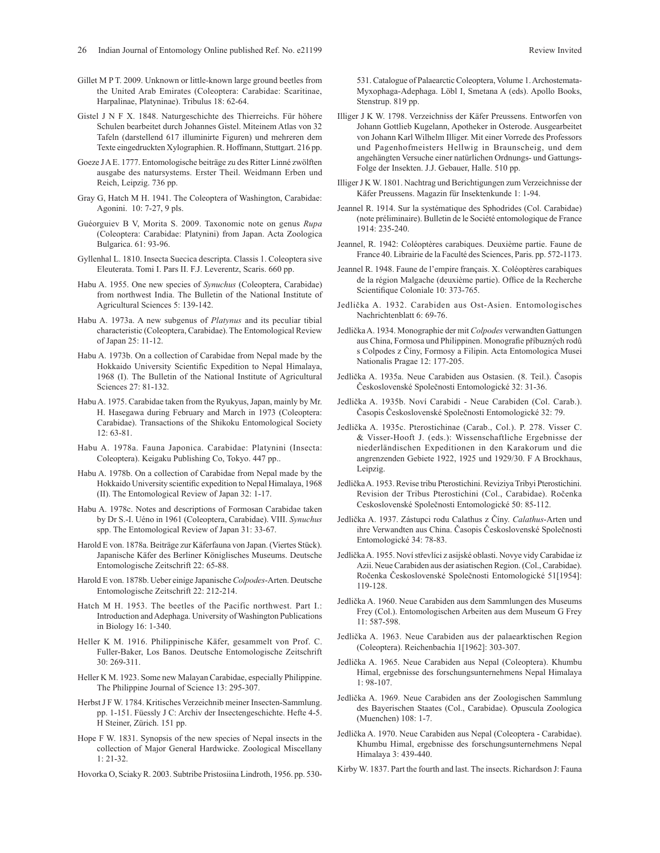- Gillet M P T. 2009. Unknown or little-known large ground beetles from the United Arab Emirates (Coleoptera: Carabidae: Scaritinae, Harpalinae, Platyninae). Tribulus 18: 62-64.
- Gistel J N F X. 1848. Naturgeschichte des Thierreichs. Für höhere Schulen bearbeitet durch Johannes Gistel. Miteinem Atlas von 32 Tafeln (darstellend 617 illuminirte Figuren) und mehreren dem Texte eingedruckten Xylographien. R. Hoffmann, Stuttgart. 216 pp.
- Goeze J A E. 1777. Entomologische beiträge zu des Ritter Linné zwölften ausgabe des natursystems. Erster Theil. Weidmann Erben und Reich, Leipzig. 736 pp.
- Gray G, Hatch M H. 1941. The Coleoptera of Washington, Carabidae: Agonini. 10: 7-27, 9 pls.
- Guéorguiev B V, Morita S. 2009. Taxonomic note on genus *Rupa* (Coleoptera: Carabidae: Platynini) from Japan. Acta Zoologica Bulgarica. 61: 93-96.
- Gyllenhal L. 1810. Insecta Suecica descripta. Classis 1. Coleoptera sive Eleuterata. Tomi I. Pars II. F.J. Leverentz, Scaris. 660 pp.
- Habu A. 1955. One new species of *Synuchus* (Coleoptera, Carabidae) from northwest India. The Bulletin of the National Institute of Agricultural Sciences 5: 139-142.
- Habu A. 1973a. A new subgenus of *Platynus* and its peculiar tibial characteristic (Coleoptera, Carabidae). The Entomological Review of Japan 25: 11-12.
- Habu A. 1973b. On a collection of Carabidae from Nepal made by the Hokkaido University Scientific Expedition to Nepal Himalaya, 1968 (I). The Bulletin of the National Institute of Agricultural Sciences 27: 81-132.
- Habu A. 1975. Carabidae taken from the Ryukyus, Japan, mainly by Mr. H. Hasegawa during February and March in 1973 (Coleoptera: Carabidae). Transactions of the Shikoku Entomological Society 12: 63-81.
- Habu A. 1978a. Fauna Japonica. Carabidae: Platynini (Insecta: Coleoptera). Keigaku Publishing Co, Tokyo. 447 pp..
- Habu A. 1978b. On a collection of Carabidae from Nepal made by the Hokkaido University scientific expedition to Nepal Himalaya, 1968 (II). The Entomological Review of Japan 32: 1-17.
- Habu A. 1978c. Notes and descriptions of Formosan Carabidae taken by Dr S.-I. Uéno in 1961 (Coleoptera, Carabidae). VIII. *Synuchus* spp. The Entomological Review of Japan 31: 33-67.
- Harold E von. 1878a. Beiträge zur Käferfauna von Japan. (Viertes Stück). Japanische Käfer des Berliner Königlisches Museums. Deutsche Entomologische Zeitschrift 22: 65-88.
- Harold E von. 1878b. Ueber einige Japanische *Colpodes*-Arten. Deutsche Entomologische Zeitschrift 22: 212-214.
- Hatch M H. 1953. The beetles of the Pacific northwest. Part I.: Introduction and Adephaga. University of Washington Publications in Biology 16: 1-340.
- Heller K M. 1916. Philippinische Käfer, gesammelt von Prof. C. Fuller-Baker, Los Banos. Deutsche Entomologische Zeitschrift 30: 269-311.
- Heller K M. 1923. Some new Malayan Carabidae, especially Philippine. The Philippine Journal of Science 13: 295-307.
- Herbst J F W. 1784. Kritisches Verzeichnib meiner Insecten-Sammlung. pp. 1-151. Füessly J C: Archiv der Insectengeschichte. Hefte 4-5. H Steiner, Zürich. 151 pp.
- Hope F W. 1831. Synopsis of the new species of Nepal insects in the collection of Major General Hardwicke. Zoological Miscellany 1: 21-32.
- Hovorka O, Sciaky R. 2003. Subtribe Pristosiina Lindroth, 1956. pp. 530-

531. Catalogue of Palaearctic Coleoptera, Volume 1. Archostemata-Myxophaga-Adephaga. Löbl I, Smetana A (eds). Apollo Books, Stenstrup. 819 pp.

- Illiger J K W. 1798. Verzeichniss der Käfer Preussens. Entworfen von Johann Gottlieb Kugelann, Apotheker in Osterode. Ausgearbeitet von Johann Karl Wilhelm Illiger. Mit einer Vorrede des Professors und Pagenhofmeisters Hellwig in Braunscheig, und dem angehängten Versuche einer natürlichen Ordnungs- und Gattungs-Folge der Insekten. J.J. Gebauer, Halle. 510 pp.
- Illiger J K W. 1801. Nachtrag und Berichtigungen zum Verzeichnisse der Käfer Preussens. Magazin für Insektenkunde 1: 1-94.
- Jeannel R. 1914. Sur la systématique des Sphodrides (Col. Carabidae) (note préliminaire). Bulletin de le Société entomologique de France 1914: 235-240.
- Jeannel, R. 1942: Coléoptères carabiques. Deuxième partie. Faune de France 40. Librairie de la Faculté des Sciences, Paris. pp. 572-1173.
- Jeannel R. 1948. Faune de l'empire français. X. Coléoptères carabiques de la région Malgache (deuxième partie). Office de la Recherche Scientifique Coloniale 10: 373-765.
- Jedlička A. 1932. Carabiden aus Ost-Asien. Entomologisches Nachrichtenblatt 6: 69-76.
- Jedlička A. 1934. Monographie der mit *Colpodes* verwandten Gattungen aus China, Formosa und Philippinen. Monografie příbuzných rodů s Colpodes z Číny, Formosy a Filipin. Acta Entomologica Musei Nationalis Pragae 12: 177-205.
- Jedlička A. 1935a. Neue Carabiden aus Ostasien. (8. Teil.). Časopis Československé Společnosti Entomologické 32: 31-36.
- Jedlička A. 1935b. Noví Carabidi Neue Carabiden (Col. Carab.). Časopis Československé Společnosti Entomologické 32: 79.
- Jedlička A. 1935c. Pterostichinae (Carab., Col.). P. 278. Visser C. & Visser-Hooft J. (eds.): Wissenschaftliche Ergebnisse der niederländischen Expeditionen in den Karakorum und die angrenzenden Gebiete 1922, 1925 und 1929/30. F A Brockhaus, Leipzig.
- Jedlička A. 1953. Revise tribu Pterostichini. Reviziya Tribyi Pterostichini. Revision der Tribus Pterostichini (Col., Carabidae). Ročenka Ceskoslovenské Společnosti Entomologické 50: 85-112.
- Jedlička A. 1937. Zástupci rodu Calathus z Číny. *Calathus*-Arten und ihre Verwandten aus China. Časopis Československé Společnosti Entomologické 34: 78-83.
- Jedlička A. 1955. Noví střevlíci z asijské oblasti. Novye vidy Carabidae iz Azii. Neue Carabiden aus der asiatischen Region. (Col., Carabidae). Ročenka Československé Společnosti Entomologické 51[1954]: 119-128.
- Jedlička A. 1960. Neue Carabiden aus dem Sammlungen des Museums Frey (Col.). Entomologischen Arbeiten aus dem Museum G Frey 11: 587-598.
- Jedlička A. 1963. Neue Carabiden aus der palaearktischen Region (Coleoptera). Reichenbachia 1[1962]: 303-307.
- Jedlička A. 1965. Neue Carabiden aus Nepal (Coleoptera). Khumbu Himal, ergebnisse des forschungsunternehmens Nepal Himalaya 1: 98-107.
- Jedlička A. 1969. Neue Carabiden ans der Zoologischen Sammlung des Bayerischen Staates (Col., Carabidae). Opuscula Zoologica (Muenchen) 108: 1-7.
- Jedlička A. 1970. Neue Carabiden aus Nepal (Coleoptera Carabidae). Khumbu Himal, ergebnisse des forschungsunternehmens Nepal Himalaya 3: 439-440.
- Kirby W. 1837. Part the fourth and last. The insects. Richardson J: Fauna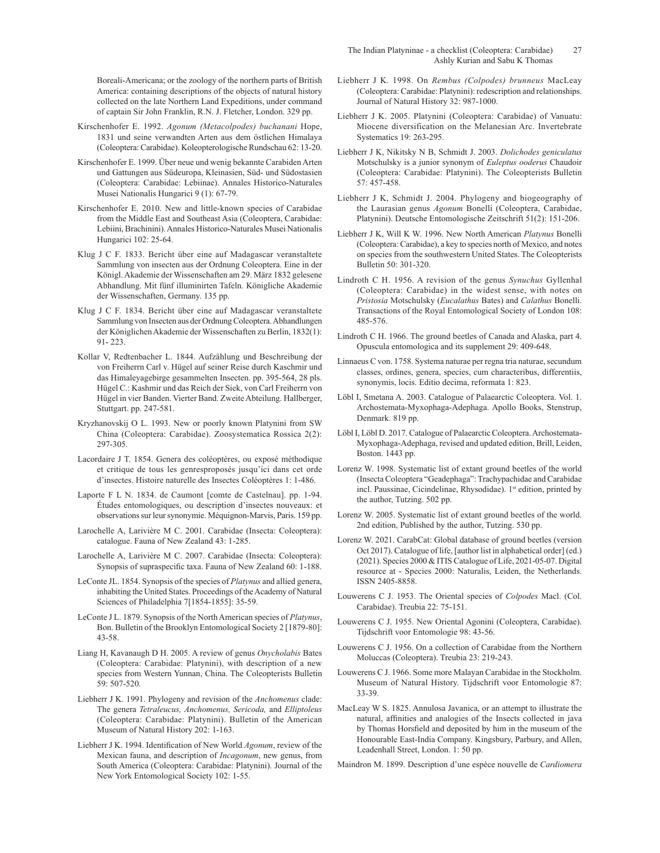Boreali-Americana; or the zoology of the northern parts of British America: containing descriptions of the objects of natural history collected on the late Northern Land Expeditions, under command of captain Sir John Franklin, R.N. J. Fletcher, London. 329 pp.

- Kirschenhofer E. 1992. *Agonum (Metacolpodes) buchanani* Hope, 1831 und seine verwandten Arten aus dem östlichen Himalaya (Coleoptera: Carabidae). Koleopterologische Rundschau 62: 13-20.
- Kirschenhofer E. 1999. Über neue und wenig bekannte Carabiden Arten und Gattungen aus Südeuropa, Kleinasien, Süd- und Südostasien (Coleoptera: Carabidae: Lebiinae). Annales Historico-Naturales Musei Nationalis Hungarici 9 (1): 67-79.
- Kirschenhofer E. 2010. New and little-known species of Carabidae from the Middle East and Southeast Asia (Coleoptera, Carabidae: Lebiini, Brachinini). Annales Historico-Naturales Musei Nationalis Hungarici 102: 25-64.
- Klug J C F. 1833. Bericht über eine auf Madagascar veranstaltete Sammlung von insecten aus der Ordnung Coleoptera. Eine in der Königl. Akademie der Wissenschaften am 29. März 1832 gelesene Abhandlung. Mit fünf illuminirten Tafeln. Königliche Akademie der Wissenschaften, Germany. 135 pp.
- Klug J C F. 1834. Bericht über eine auf Madagascar veranstaltete Sammlung von Insecten aus der Ordnung Coleoptera. Abhandlungen der Königlichen Akademie der Wissenschaften zu Berlin, 1832(1): 91- 223.
- Kollar V, Redtenbacher L. 1844. Aufzählung und Beschreibung der von Freiherrn Carl v. Hügel auf seiner Reise durch Kaschmir und das Himaleyagebirge gesammelten Insecten. pp. 395-564, 28 pls. Hügel C.: Kashmir und das Reich der Siek, von Carl Freiherrn von Hügel in vier Banden. Vierter Band. Zweite Abteilung. Hallberger, Stuttgart. pp. 247-581.
- Kryzhanovskij O L. 1993. New or poorly known Platynini from SW China (Coleoptera: Carabidae). Zoosystematica Rossica 2(2): 297-305.
- Lacordaire J T. 1854. Genera des coléoptères, ou exposé méthodique et critique de tous les genresproposés jusqu'ici dans cet orde d'insectes. Histoire naturelle des Insectes Coléoptères 1: 1-486.
- Laporte F L N. 1834. de Caumont [comte de Castelnau]. pp. 1-94. Études entomologiques, ou description d'insectes nouveaux: et observations sur leur synonymie. Méquignon-Marvis, Paris. 159 pp.
- Larochelle A, Larivière M C. 2001. Carabidae (Insecta: Coleoptera): catalogue. Fauna of New Zealand 43: 1-285.
- Larochelle A, Larivière M C. 2007. Carabidae (Insecta: Coleoptera): Synopsis of supraspecific taxa. Fauna of New Zealand 60: 1-188.
- LeConte JL. 1854. Synopsis of the species of *Platynus* and allied genera, inhabiting the United States. Proceedings of the Academy of Natural Sciences of Philadelphia 7[1854-1855]: 35-59.
- LeConte J L. 1879. Synopsis of the North American species of *Platynus*, Bon. Bulletin of the Brooklyn Entomological Society 2 [1879-80]: 43-58.
- Liang H, Kavanaugh D H. 2005. A review of genus *Onycholabis* Bates (Coleoptera: Carabidae: Platynini), with description of a new species from Western Yunnan, China. The Coleopterists Bulletin 59: 507-520.
- Liebherr J K. 1991. Phylogeny and revision of the *Anchomenus* clade: The genera *Tetraleucus, Anchomenus, Sericoda,* and *Elliptoleus* (Coleoptera: Carabidae: Platynini). Bulletin of the American Museum of Natural History 202: 1-163.
- Liebherr J K. 1994. Identification of New World *Agonum*, review of the Mexican fauna, and description of *Incagonum*, new genus, from South America (Coleoptera: Carabidae: Platynini). Journal of the New York Entomological Society 102: 1-55.
- Liebherr J K. 1998. On *Rembus (Colpodes) brunneus* MacLeay (Coleoptera: Carabidae: Platynini): redescription and relationships. Journal of Natural History 32: 987-1000.
- Liebherr J K. 2005. Platynini (Coleoptera: Carabidae) of Vanuatu: Miocene diversification on the Melanesian Arc. Invertebrate Systematics 19: 263-295.
- Liebherr J K, Nikitsky N B, Schmidt J. 2003. *Dolichodes geniculatus* Motschulsky is a junior synonym of *Euleptus ooderus* Chaudoir (Coleoptera: Carabidae: Platynini). The Coleopterists Bulletin 57: 457-458.
- Liebherr J K, Schmidt J. 2004. Phylogeny and biogeography of the Laurasian genus *Agonum* Bonelli (Coleoptera, Carabidae, Platynini). Deutsche Entomologische Zeitschrift 51(2): 151-206.
- Liebherr J K, Will K W. 1996. New North American *Platynus* Bonelli (Coleoptera: Carabidae), a key to species north of Mexico, and notes on species from the southwestern United States. The Coleopterists Bulletin 50: 301-320.
- Lindroth C H. 1956. A revision of the genus *Synuchus* Gyllenhal (Coleoptera: Carabidae) in the widest sense, with notes on *Pristosia* Motschulsky (*Eucalathus* Bates) and *Calathus* Bonelli. Transactions of the Royal Entomological Society of London 108: 485-576.
- Lindroth C H. 1966. The ground beetles of Canada and Alaska, part 4. Opuscula entomologica and its supplement 29: 409-648.
- Linnaeus C von. 1758. Systema naturae per regna tria naturae, secundum classes, ordines, genera, species, cum characteribus, differentiis, synonymis, locis. Editio decima, reformata 1: 823.
- Löbl I, Smetana A. 2003. Catalogue of Palaearctic Coleoptera. Vol. 1. Archostemata-Myxophaga-Adephaga. Apollo Books, Stenstrup, Denmark. 819 pp.
- Löbl I, Löbl D. 2017. Catalogue of Palaearctic Coleoptera. Archostemata-Myxophaga-Adephaga, revised and updated edition, Brill, Leiden, Boston. 1443 pp.
- Lorenz W. 1998. Systematic list of extant ground beetles of the world (Insecta Coleoptera "Geadephaga": Trachypachidae and Carabidae incl. Paussinae, Cicindelinae, Rhysodidae). 1<sup>st</sup> edition, printed by the author, Tutzing. 502 pp.
- Lorenz W. 2005. Systematic list of extant ground beetles of the world. 2nd edition, Published by the author, Tutzing. 530 pp.
- Lorenz W. 2021. CarabCat: Global database of ground beetles (version Oct 2017). Catalogue of life, [author list in alphabetical order] (ed.) (2021). Species 2000 & ITIS Catalogue of Life, 2021-05-07. Digital resource at - Species 2000: Naturalis, Leiden, the Netherlands. ISSN 2405-8858.
- Louwerens C J. 1953. The Oriental species of *Colpodes* Macl. (Col. Carabidae). Treubia 22: 75-151.
- Louwerens C J. 1955. New Oriental Agonini (Coleoptera, Carabidae). Tijdschrift voor Entomologie 98: 43-56.
- Louwerens C J. 1956. On a collection of Carabidae from the Northern Moluccas (Coleoptera). Treubia 23: 219-243.
- Louwerens C J. 1966. Some more Malayan Carabidae in the Stockholm. Museum of Natural History. Tijdschrift voor Entomologie 87: 33-39.
- MacLeay W S. 1825. Annulosa Javanica, or an attempt to illustrate the natural, affinities and analogies of the Insects collected in java by Thomas Horsfield and deposited by him in the museum of the Honourable East-India Company. Kingsbury, Parbury, and Allen, Leadenhall Street, London. 1: 50 pp.
- Maindron M. 1899. Description d'une espèce nouvelle de *Cardiomera*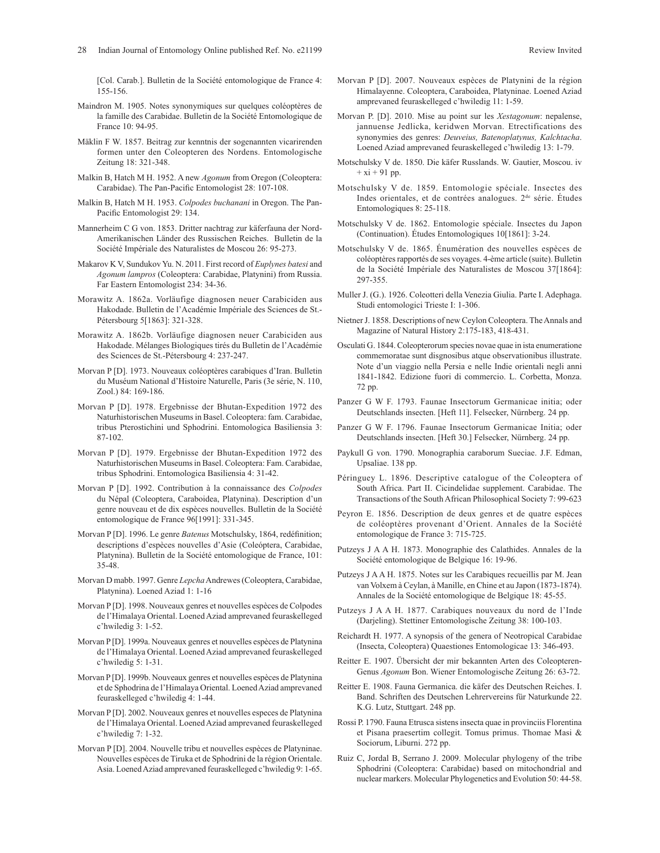[Col. Carab.]. Bulletin de la Société entomologique de France 4: 155-156.

- Maindron M. 1905. Notes synonymiques sur quelques coléoptères de la famille des Carabidae. Bulletin de la Société Entomologique de France 10: 94-95.
- Mäklin F W. 1857. Beitrag zur kenntnis der sogenannten vicarirenden formen unter den Coleopteren des Nordens. Entomologische Zeitung 18: 321-348.
- Malkin B, Hatch M H. 1952. A new *Agonum* from Oregon (Coleoptera: Carabidae). The Pan-Pacific Entomologist 28: 107-108.
- Malkin B, Hatch M H. 1953. *Colpodes buchanani* in Oregon. The Pan-Pacific Entomologist 29: 134.
- Mannerheim C G von. 1853. Dritter nachtrag zur käferfauna der Nord-Amerikanischen Länder des Russischen Reiches. Bulletin de la Société Impériale des Naturalistes de Moscou 26: 95-273.
- Makarov K V, Sundukov Yu. N. 2011. First record of *Euplynes batesi* and *Agonum lampros* (Coleoptera: Carabidae, Platynini) from Russia. Far Eastern Entomologist 234: 34-36.
- Morawitz A. 1862a. Vorläufige diagnosen neuer Carabiciden aus Hakodade. Bulletin de l'Académie Impériale des Sciences de St.- Pétersbourg 5[1863]: 321-328.
- Morawitz A. 1862b. Vorläufige diagnosen neuer Carabiciden aus Hakodade. Mélanges Biologiques tirés du Bulletin de l'Académie des Sciences de St.-Pétersbourg 4: 237-247.
- Morvan P [D]. 1973. Nouveaux coléoptères carabiques d'Iran. Bulletin du Muséum National d'Histoire Naturelle, Paris (3e série, N. 110, Zool.) 84: 169-186.
- Morvan P [D]. 1978. Ergebnisse der Bhutan-Expedition 1972 des Naturhistorischen Museums in Basel. Coleoptera: fam. Carabidae, tribus Pterostichini und Sphodrini. Entomologica Basiliensia 3: 87-102.
- Morvan P [D]. 1979. Ergebnisse der Bhutan-Expedition 1972 des Naturhistorischen Museums in Basel. Coleoptera: Fam. Carabidae, tribus Sphodrini. Entomologica Basiliensia 4: 31-42.
- Morvan P [D]. 1992. Contribution à la connaissance des *Colpodes* du Népal (Coleoptera, Caraboidea, Platynina). Description d'un genre nouveau et de dix espèces nouvelles. Bulletin de la Société entomologique de France 96[1991]: 331-345.
- Morvan P [D]. 1996. Le genre *Batenus* Motschulsky, 1864, redéfinition; descriptions d'espèces nouvelles d'Asie (Coleóptera, Carabidae, Platynina). Bulletin de la Société entomologique de France, 101: 35-48.
- Morvan D mabb. 1997. Genre *Lepcha* Andrewes (Coleoptera, Carabidae, Platynina). Loened Aziad 1: 1-16
- Morvan P [D]. 1998. Nouveaux genres et nouvelles espèces de Colpodes de l'Himalaya Oriental. Loened Aziad amprevaned feuraskelleged c'hwiledig 3: 1-52.
- Morvan P [D]. 1999a. Nouveaux genres et nouvelles espèces de Platynina de l'Himalaya Oriental. Loened Aziad amprevaned feuraskelleged c'hwiledig 5: 1-31.
- Morvan P [D]. 1999b. Nouveaux genres et nouvelles espèces de Platynina et de Sphodrina de l'Himalaya Oriental. Loened Aziad amprevaned feuraskelleged c'hwiledig 4: 1-44.
- Morvan P [D]. 2002. Nouveaux genres et nouvelles especes de Platynina de l'Himalaya Oriental. Loened Aziad amprevaned feuraskelleged c'hwiledig 7: 1-32.
- Morvan P [D]. 2004. Nouvelle tribu et nouvelles espèces de Platyninae. Nouvelles espèces de Tiruka et de Sphodrini de la région Orientale. Asia. Loened Aziad amprevaned feuraskelleged c'hwiledig 9: 1-65.
- Morvan P [D]. 2007. Nouveaux espèces de Platynini de la région Himalayenne. Coleoptera, Caraboidea, Platyninae. Loened Aziad amprevaned feuraskelleged c'hwiledig 11: 1-59.
- Morvan P. [D]. 2010. Mise au point sur les *Xestagonum*: nepalense, jannuense Jedlicka, keridwen Morvan. Etrectifications des synonymies des genres: *Deuveius, Batenoplatynus, Kalchtacha*. Loened Aziad amprevaned feuraskelleged c'hwiledig 13: 1-79.
- Motschulsky V de. 1850. Die käfer Russlands. W. Gautier, Moscou. iv  $+ x i + 91$  pp.
- Motschulsky V de. 1859. Entomologie spéciale. Insectes des Indes orientales, et de contrées analogues. 2<sup>de</sup> série. Études Entomologiques 8: 25-118.
- Motschulsky V de. 1862. Entomologie spéciale. Insectes du Japon (Continuation). Études Entomologiques 10[1861]: 3-24.
- Motschulsky V de. 1865. Énumération des nouvelles espèces de coléoptères rapportés de ses voyages. 4-ème article (suite). Bulletin de la Société Impériale des Naturalistes de Moscou 37[1864]: 297-355.
- Muller J. (G.). 1926. Coleotteri della Venezia Giulia. Parte I. Adephaga. Studi entomologici Trieste I: 1-306.
- Nietner J. 1858. Descriptions of new Ceylon Coleoptera. The Annals and Magazine of Natural History 2:175-183, 418-431.
- Osculati G. 1844. Coleopterorum species novae quae in ista enumeratione commemoratae sunt disgnosibus atque observationibus illustrate. Note d'un viaggio nella Persia e nelle Indie orientali negli anni 1841-1842. Edizione fuori di commercio. L. Corbetta, Monza. 72 pp.
- Panzer G W F. 1793. Faunae Insectorum Germanicae initia; oder Deutschlands insecten. [Heft 11]. Felsecker, Nürnberg. 24 pp.
- Panzer G W F. 1796. Faunae Insectorum Germanicae Initia; oder Deutschlands insecten. [Heft 30.] Felsecker, Nürnberg. 24 pp.
- Paykull G von. 1790. Monographia caraborum Sueciae. J.F. Edman, Upsaliae. 138 pp.
- Péringuey L. 1896. Descriptive catalogue of the Coleoptera of South Africa. Part II. Cicindelidae supplement. Carabidae. The Transactions of the South African Philosophical Society 7: 99-623
- Peyron E. 1856. Description de deux genres et de quatre espèces de coléoptères provenant d'Orient. Annales de la Société entomologique de France 3: 715-725.
- Putzeys J A A H. 1873. Monographie des Calathides. Annales de la Société entomologique de Belgique 16: 19-96.
- Putzeys J A A H. 1875. Notes sur les Carabiques recueillis par M. Jean van Volxem à Ceylan, à Manille, en Chine et au Japon (1873-1874). Annales de la Société entomologique de Belgique 18: 45-55.
- Putzeys J A A H. 1877. Carabiques nouveaux du nord de l'Inde (Darjeling). Stettiner Entomologische Zeitung 38: 100-103.
- Reichardt H. 1977. A synopsis of the genera of Neotropical Carabidae (Insecta, Coleoptera) Quaestiones Entomologicae 13: 346-493.
- Reitter E. 1907. Übersicht der mir bekannten Arten des Coleopteren-Genus *Agonum* Bon. Wiener Entomologische Zeitung 26: 63-72.
- Reitter E. 1908. Fauna Germanica. die käfer des Deutschen Reiches. I. Band. Schriften des Deutschen Lehrervereins für Naturkunde 22. K.G. Lutz, Stuttgart. 248 pp.
- Rossi P. 1790. Fauna Etrusca sistens insecta quae in provinciis Florentina et Pisana praesertim collegit. Tomus primus. Thomae Masi & Sociorum, Liburni. 272 pp.
- Ruiz C, Jordal B, Serrano J. 2009. Molecular phylogeny of the tribe Sphodrini (Coleoptera: Carabidae) based on mitochondrial and nuclear markers. Molecular Phylogenetics and Evolution 50: 44-58.